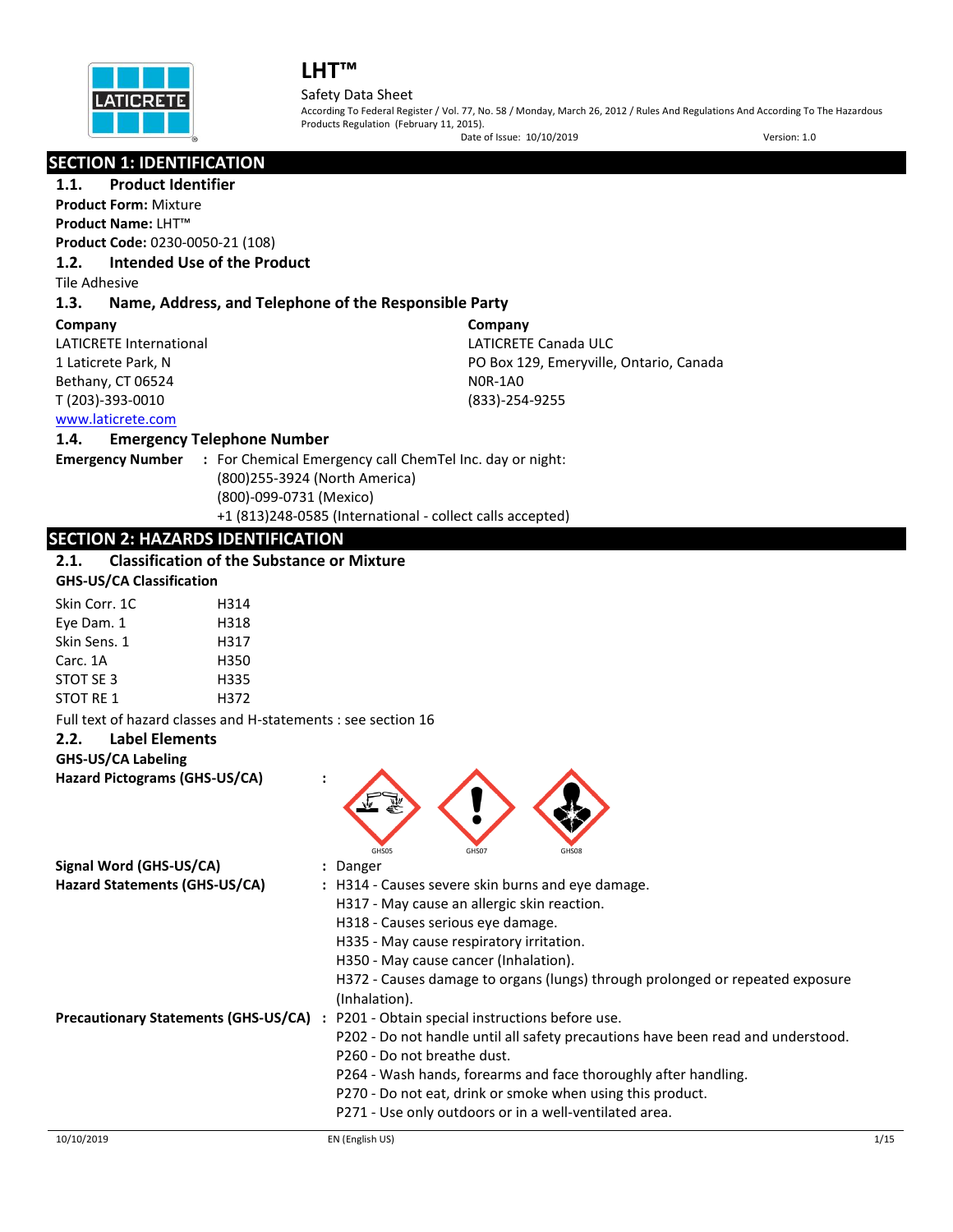

## Safety Data Sheet

According To Federal Register / Vol. 77, No. 58 / Monday, March 26, 2012 / Rules And Regulations And According To The Hazardous Products Regulation (February 11, 2015).

Date of Issue: 10/10/2019 Version: 1.0

|                      | <b>SECTION 1: IDENTIFICATION</b>                              |                                                                                                |  |  |
|----------------------|---------------------------------------------------------------|------------------------------------------------------------------------------------------------|--|--|
| 1.1.                 | <b>Product Identifier</b>                                     |                                                                                                |  |  |
|                      | <b>Product Form: Mixture</b>                                  |                                                                                                |  |  |
|                      | <b>Product Name: LHT™</b>                                     |                                                                                                |  |  |
|                      | Product Code: 0230-0050-21 (108)                              |                                                                                                |  |  |
| 1.2.                 | Intended Use of the Product                                   |                                                                                                |  |  |
| <b>Tile Adhesive</b> |                                                               |                                                                                                |  |  |
| 1.3.                 |                                                               | Name, Address, and Telephone of the Responsible Party                                          |  |  |
| Company              |                                                               | Company                                                                                        |  |  |
|                      | <b>LATICRETE International</b>                                | <b>LATICRETE Canada ULC</b>                                                                    |  |  |
|                      | 1 Laticrete Park, N                                           | PO Box 129, Emeryville, Ontario, Canada                                                        |  |  |
|                      | Bethany, CT 06524                                             | <b>NOR-1AO</b>                                                                                 |  |  |
| T (203)-393-0010     |                                                               | (833)-254-9255                                                                                 |  |  |
|                      | www.laticrete.com                                             |                                                                                                |  |  |
| 1.4.                 | <b>Emergency Telephone Number</b>                             |                                                                                                |  |  |
|                      | <b>Emergency Number</b>                                       | : For Chemical Emergency call ChemTel Inc. day or night:                                       |  |  |
|                      |                                                               | (800)255-3924 (North America)                                                                  |  |  |
|                      | (800)-099-0731 (Mexico)                                       |                                                                                                |  |  |
|                      |                                                               | +1 (813)248-0585 (International - collect calls accepted)                                      |  |  |
|                      | <b>SECTION 2: HAZARDS IDENTIFICATION</b>                      |                                                                                                |  |  |
| 2.1.                 | <b>Classification of the Substance or Mixture</b>             |                                                                                                |  |  |
|                      | <b>GHS-US/CA Classification</b>                               |                                                                                                |  |  |
| Skin Corr. 1C        | H314                                                          |                                                                                                |  |  |
| Eye Dam. 1           | H318                                                          |                                                                                                |  |  |
| Skin Sens. 1         | H317                                                          |                                                                                                |  |  |
| Carc. 1A             | H350                                                          |                                                                                                |  |  |
| STOT SE 3            | H335                                                          |                                                                                                |  |  |
| STOT RE 1            | H372                                                          |                                                                                                |  |  |
|                      | Full text of hazard classes and H-statements : see section 16 |                                                                                                |  |  |
| 2.2.                 | <b>Label Elements</b>                                         |                                                                                                |  |  |
|                      | <b>GHS-US/CA Labeling</b>                                     |                                                                                                |  |  |
|                      | <b>Hazard Pictograms (GHS-US/CA)</b>                          |                                                                                                |  |  |
|                      |                                                               | GHS05<br>GHS07<br>GHS08                                                                        |  |  |
|                      | Signal Word (GHS-US/CA)                                       | : Danger                                                                                       |  |  |
|                      | Hazard Statements (GHS-US/CA)                                 | : H314 - Causes severe skin burns and eye damage.                                              |  |  |
|                      |                                                               | H317 - May cause an allergic skin reaction.                                                    |  |  |
|                      |                                                               | H318 - Causes serious eye damage.                                                              |  |  |
|                      |                                                               | H335 - May cause respiratory irritation.                                                       |  |  |
|                      |                                                               | H350 - May cause cancer (Inhalation).                                                          |  |  |
|                      |                                                               | H372 - Causes damage to organs (lungs) through prolonged or repeated exposure<br>(Inhalation). |  |  |
|                      |                                                               | Precautionary Statements (GHS-US/CA) : P201 - Obtain special instructions before use.          |  |  |
|                      |                                                               | P202 - Do not handle until all safety precautions have been read and understood.               |  |  |
|                      |                                                               | P260 - Do not breathe dust.                                                                    |  |  |
|                      |                                                               | P264 - Wash hands, forearms and face thoroughly after handling.                                |  |  |
|                      |                                                               | P270 - Do not eat, drink or smoke when using this product.                                     |  |  |
|                      |                                                               | P271 - Use only outdoors or in a well-ventilated area.                                         |  |  |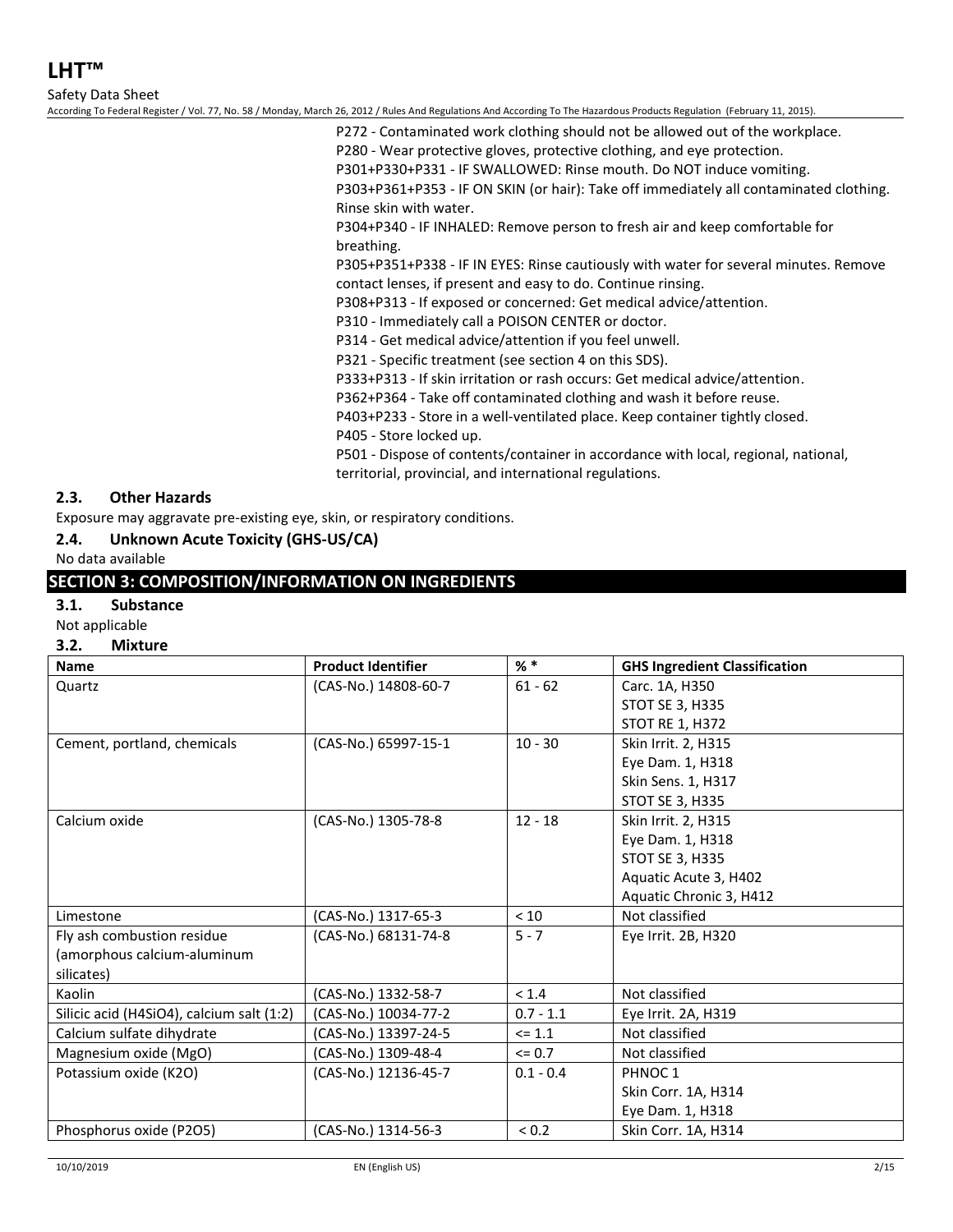Safety Data Sheet

According To Federal Register / Vol. 77, No. 58 / Monday, March 26, 2012 / Rules And Regulations And According To The Hazardous Products Regulation (February 11, 2015).

P272 - Contaminated work clothing should not be allowed out of the workplace.

P280 - Wear protective gloves, protective clothing, and eye protection.

P301+P330+P331 - IF SWALLOWED: Rinse mouth. Do NOT induce vomiting.

P303+P361+P353 - IF ON SKIN (or hair): Take off immediately all contaminated clothing. Rinse skin with water.

P304+P340 - IF INHALED: Remove person to fresh air and keep comfortable for breathing.

P305+P351+P338 - IF IN EYES: Rinse cautiously with water for several minutes. Remove contact lenses, if present and easy to do. Continue rinsing.

P308+P313 - If exposed or concerned: Get medical advice/attention.

P310 - Immediately call a POISON CENTER or doctor.

P314 - Get medical advice/attention if you feel unwell.

P321 - Specific treatment (see section 4 on this SDS).

P333+P313 - If skin irritation or rash occurs: Get medical advice/attention.

P362+P364 - Take off contaminated clothing and wash it before reuse.

P403+P233 - Store in a well-ventilated place. Keep container tightly closed.

P405 - Store locked up.

P501 - Dispose of contents/container in accordance with local, regional, national, territorial, provincial, and international regulations.

## **2.3. Other Hazards**

Exposure may aggravate pre-existing eye, skin, or respiratory conditions.

## **2.4. Unknown Acute Toxicity (GHS-US/CA)**

No data available

## **SECTION 3: COMPOSITION/INFORMATION ON INGREDIENTS**

#### **3.1. Substance**

Not applicable

#### **3.2. Mixture**

| <b>Name</b>                               | <b>Product Identifier</b> | $%$ *       | <b>GHS Ingredient Classification</b> |
|-------------------------------------------|---------------------------|-------------|--------------------------------------|
| Quartz                                    | (CAS-No.) 14808-60-7      | $61 - 62$   | Carc. 1A, H350                       |
|                                           |                           |             | STOT SE 3, H335                      |
|                                           |                           |             | <b>STOT RE 1, H372</b>               |
| Cement, portland, chemicals               | (CAS-No.) 65997-15-1      | $10 - 30$   | Skin Irrit. 2, H315                  |
|                                           |                           |             | Eye Dam. 1, H318                     |
|                                           |                           |             | Skin Sens. 1, H317                   |
|                                           |                           |             | STOT SE 3, H335                      |
| Calcium oxide                             | (CAS-No.) 1305-78-8       | $12 - 18$   | Skin Irrit. 2, H315                  |
|                                           |                           |             | Eye Dam. 1, H318                     |
|                                           |                           |             | <b>STOT SE 3, H335</b>               |
|                                           |                           |             | Aquatic Acute 3, H402                |
|                                           |                           |             | Aquatic Chronic 3, H412              |
| Limestone                                 | (CAS-No.) 1317-65-3       | < 10        | Not classified                       |
| Fly ash combustion residue                | (CAS-No.) 68131-74-8      | $5 - 7$     | Eye Irrit. 2B, H320                  |
| (amorphous calcium-aluminum               |                           |             |                                      |
| silicates)                                |                           |             |                                      |
| Kaolin                                    | (CAS-No.) 1332-58-7       | < 1.4       | Not classified                       |
| Silicic acid (H4SiO4), calcium salt (1:2) | (CAS-No.) 10034-77-2      | $0.7 - 1.1$ | Eye Irrit. 2A, H319                  |
| Calcium sulfate dihydrate                 | (CAS-No.) 13397-24-5      | $\leq 1.1$  | Not classified                       |
| Magnesium oxide (MgO)                     | (CAS-No.) 1309-48-4       | $= 0.7$     | Not classified                       |
| Potassium oxide (K2O)                     | (CAS-No.) 12136-45-7      | $0.1 - 0.4$ | PHNOC <sub>1</sub>                   |
|                                           |                           |             | Skin Corr. 1A, H314                  |
|                                           |                           |             | Eye Dam. 1, H318                     |
| Phosphorus oxide (P2O5)                   | (CAS-No.) 1314-56-3       | ${}_{0.2}$  | Skin Corr. 1A, H314                  |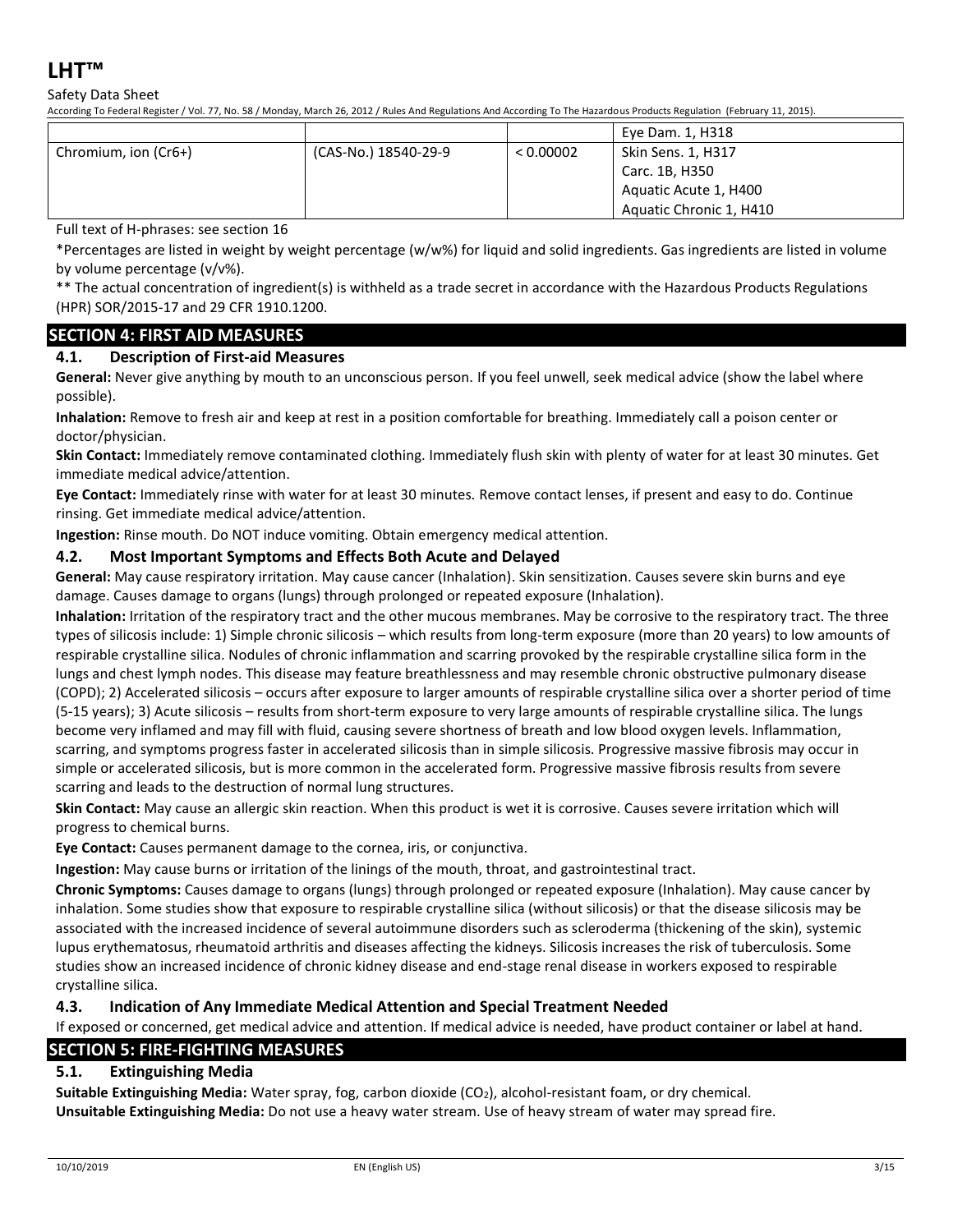Safety Data Sheet

According To Federal Register / Vol. 77, No. 58 / Monday, March 26, 2012 / Rules And Regulations And According To The Hazardous Products Regulation (February 11, 2015).

|                      |           | Eye Dam. 1, H318        |
|----------------------|-----------|-------------------------|
| (CAS-No.) 18540-29-9 | < 0.00002 | Skin Sens. 1, H317      |
|                      |           | Carc. 1B, H350          |
|                      |           | Aquatic Acute 1, H400   |
|                      |           | Aquatic Chronic 1, H410 |
|                      |           |                         |

Full text of H-phrases: see section 16

\*Percentages are listed in weight by weight percentage (w/w%) for liquid and solid ingredients. Gas ingredients are listed in volume by volume percentage (v/v%).

\*\* The actual concentration of ingredient(s) is withheld as a trade secret in accordance with the Hazardous Products Regulations (HPR) SOR/2015-17 and 29 CFR 1910.1200.

## **SECTION 4: FIRST AID MEASURES**

## **4.1. Description of First-aid Measures**

**General:** Never give anything by mouth to an unconscious person. If you feel unwell, seek medical advice (show the label where possible).

**Inhalation:** Remove to fresh air and keep at rest in a position comfortable for breathing. Immediately call a poison center or doctor/physician.

**Skin Contact:** Immediately remove contaminated clothing. Immediately flush skin with plenty of water for at least 30 minutes. Get immediate medical advice/attention.

**Eye Contact:** Immediately rinse with water for at least 30 minutes. Remove contact lenses, if present and easy to do. Continue rinsing. Get immediate medical advice/attention.

**Ingestion:** Rinse mouth. Do NOT induce vomiting. Obtain emergency medical attention.

### **4.2. Most Important Symptoms and Effects Both Acute and Delayed**

**General:** May cause respiratory irritation. May cause cancer (Inhalation). Skin sensitization. Causes severe skin burns and eye damage. Causes damage to organs (lungs) through prolonged or repeated exposure (Inhalation).

**Inhalation:** Irritation of the respiratory tract and the other mucous membranes. May be corrosive to the respiratory tract. The three types of silicosis include: 1) Simple chronic silicosis – which results from long-term exposure (more than 20 years) to low amounts of respirable crystalline silica. Nodules of chronic inflammation and scarring provoked by the respirable crystalline silica form in the lungs and chest lymph nodes. This disease may feature breathlessness and may resemble chronic obstructive pulmonary disease (COPD); 2) Accelerated silicosis – occurs after exposure to larger amounts of respirable crystalline silica over a shorter period of time (5-15 years); 3) Acute silicosis – results from short-term exposure to very large amounts of respirable crystalline silica. The lungs become very inflamed and may fill with fluid, causing severe shortness of breath and low blood oxygen levels. Inflammation, scarring, and symptoms progress faster in accelerated silicosis than in simple silicosis. Progressive massive fibrosis may occur in simple or accelerated silicosis, but is more common in the accelerated form. Progressive massive fibrosis results from severe scarring and leads to the destruction of normal lung structures.

**Skin Contact:** May cause an allergic skin reaction. When this product is wet it is corrosive. Causes severe irritation which will progress to chemical burns.

**Eye Contact:** Causes permanent damage to the cornea, iris, or conjunctiva.

**Ingestion:** May cause burns or irritation of the linings of the mouth, throat, and gastrointestinal tract.

**Chronic Symptoms:** Causes damage to organs (lungs) through prolonged or repeated exposure (Inhalation). May cause cancer by inhalation. Some studies show that exposure to respirable crystalline silica (without silicosis) or that the disease silicosis may be associated with the increased incidence of several autoimmune disorders such as scleroderma (thickening of the skin), systemic lupus erythematosus, rheumatoid arthritis and diseases affecting the kidneys. Silicosis increases the risk of tuberculosis. Some studies show an increased incidence of chronic kidney disease and end-stage renal disease in workers exposed to respirable crystalline silica.

## **4.3. Indication of Any Immediate Medical Attention and Special Treatment Needed**

If exposed or concerned, get medical advice and attention. If medical advice is needed, have product container or label at hand.

## **SECTION 5: FIRE-FIGHTING MEASURES**

## **5.1. Extinguishing Media**

Suitable Extinguishing Media: Water spray, fog, carbon dioxide (CO<sub>2</sub>), alcohol-resistant foam, or dry chemical. **Unsuitable Extinguishing Media:** Do not use a heavy water stream. Use of heavy stream of water may spread fire.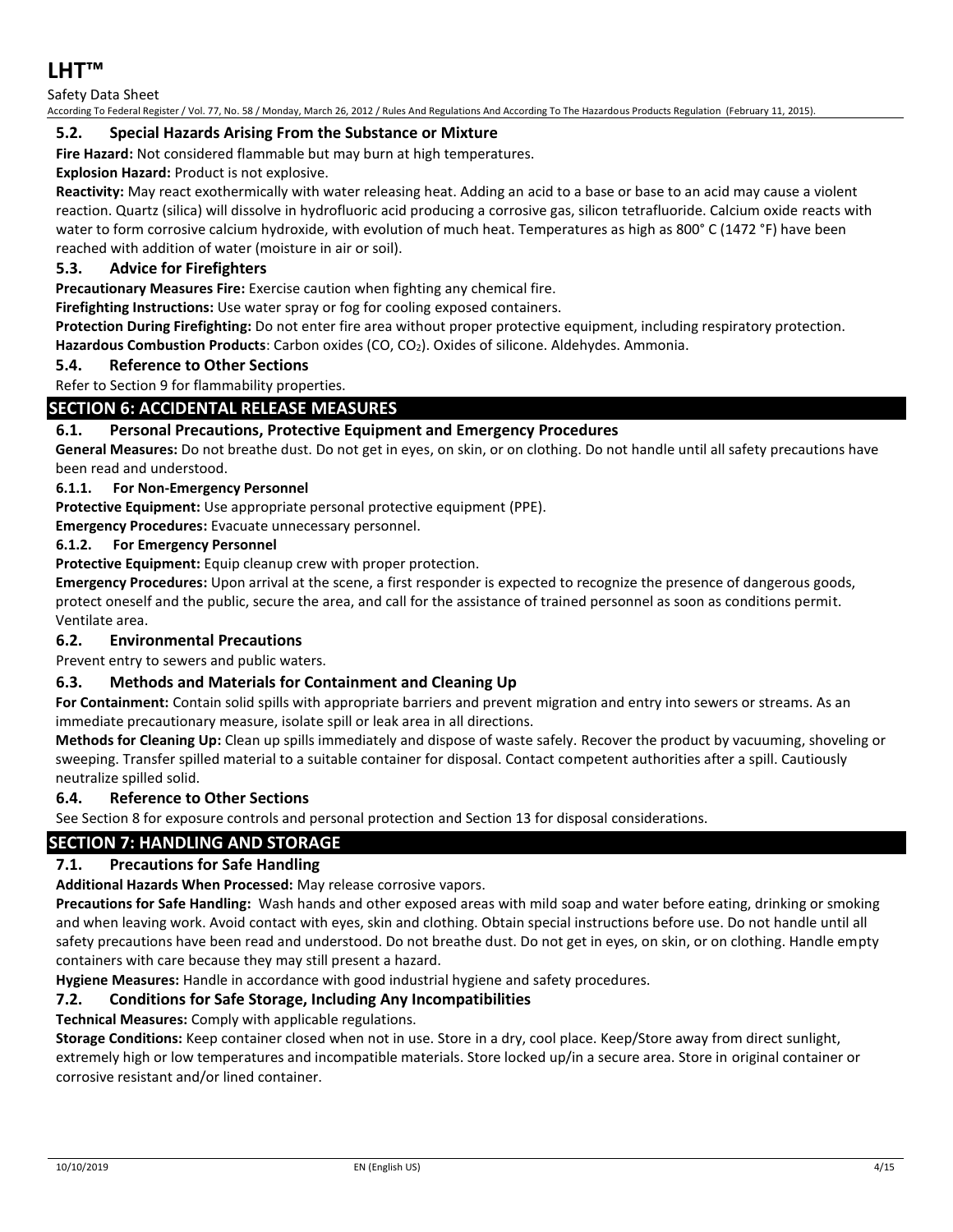

## Safety Data Sheet

According To Federal Register / Vol. 77, No. 58 / Monday, March 26, 2012 / Rules And Regulations And According To The Hazardous Products Regulation (February 11, 2015).

#### **5.2. Special Hazards Arising From the Substance or Mixture**

**Fire Hazard:** Not considered flammable but may burn at high temperatures.

**Explosion Hazard:** Product is not explosive.

**Reactivity:** May react exothermically with water releasing heat. Adding an acid to a base or base to an acid may cause a violent reaction. Quartz (silica) will dissolve in hydrofluoric acid producing a corrosive gas, silicon tetrafluoride. Calcium oxide reacts with water to form corrosive calcium hydroxide, with evolution of much heat. Temperatures as high as 800° C (1472 °F) have been reached with addition of water (moisture in air or soil).

#### **5.3. Advice for Firefighters**

**Precautionary Measures Fire:** Exercise caution when fighting any chemical fire.

**Firefighting Instructions:** Use water spray or fog for cooling exposed containers.

**Protection During Firefighting:** Do not enter fire area without proper protective equipment, including respiratory protection. **Hazardous Combustion Products**: Carbon oxides (CO, CO2). Oxides of silicone. Aldehydes. Ammonia.

#### **5.4. Reference to Other Sections**

Refer to Section 9 for flammability properties.

#### **SECTION 6: ACCIDENTAL RELEASE MEASURES**

#### **6.1. Personal Precautions, Protective Equipment and Emergency Procedures**

**General Measures:** Do not breathe dust. Do not get in eyes, on skin, or on clothing. Do not handle until all safety precautions have been read and understood.

#### **6.1.1. For Non-Emergency Personnel**

**Protective Equipment:** Use appropriate personal protective equipment (PPE).

**Emergency Procedures:** Evacuate unnecessary personnel.

#### **6.1.2. For Emergency Personnel**

**Protective Equipment:** Equip cleanup crew with proper protection.

**Emergency Procedures:** Upon arrival at the scene, a first responder is expected to recognize the presence of dangerous goods, protect oneself and the public, secure the area, and call for the assistance of trained personnel as soon as conditions permit. Ventilate area.

#### **6.2. Environmental Precautions**

Prevent entry to sewers and public waters.

#### **6.3. Methods and Materials for Containment and Cleaning Up**

**For Containment:** Contain solid spills with appropriate barriers and prevent migration and entry into sewers or streams. As an immediate precautionary measure, isolate spill or leak area in all directions.

**Methods for Cleaning Up:** Clean up spills immediately and dispose of waste safely. Recover the product by vacuuming, shoveling or sweeping. Transfer spilled material to a suitable container for disposal. Contact competent authorities after a spill. Cautiously neutralize spilled solid.

#### **6.4. Reference to Other Sections**

See Section 8 for exposure controls and personal protection and Section 13 for disposal considerations.

## **SECTION 7: HANDLING AND STORAGE**

## **7.1. Precautions for Safe Handling**

**Additional Hazards When Processed:** May release corrosive vapors.

**Precautions for Safe Handling:** Wash hands and other exposed areas with mild soap and water before eating, drinking or smoking and when leaving work. Avoid contact with eyes, skin and clothing. Obtain special instructions before use. Do not handle until all safety precautions have been read and understood. Do not breathe dust. Do not get in eyes, on skin, or on clothing. Handle empty containers with care because they may still present a hazard.

**Hygiene Measures:** Handle in accordance with good industrial hygiene and safety procedures.

#### **7.2. Conditions for Safe Storage, Including Any Incompatibilities**

**Technical Measures:** Comply with applicable regulations.

**Storage Conditions:** Keep container closed when not in use. Store in a dry, cool place. Keep/Store away from direct sunlight, extremely high or low temperatures and incompatible materials. Store locked up/in a secure area. Store in original container or corrosive resistant and/or lined container.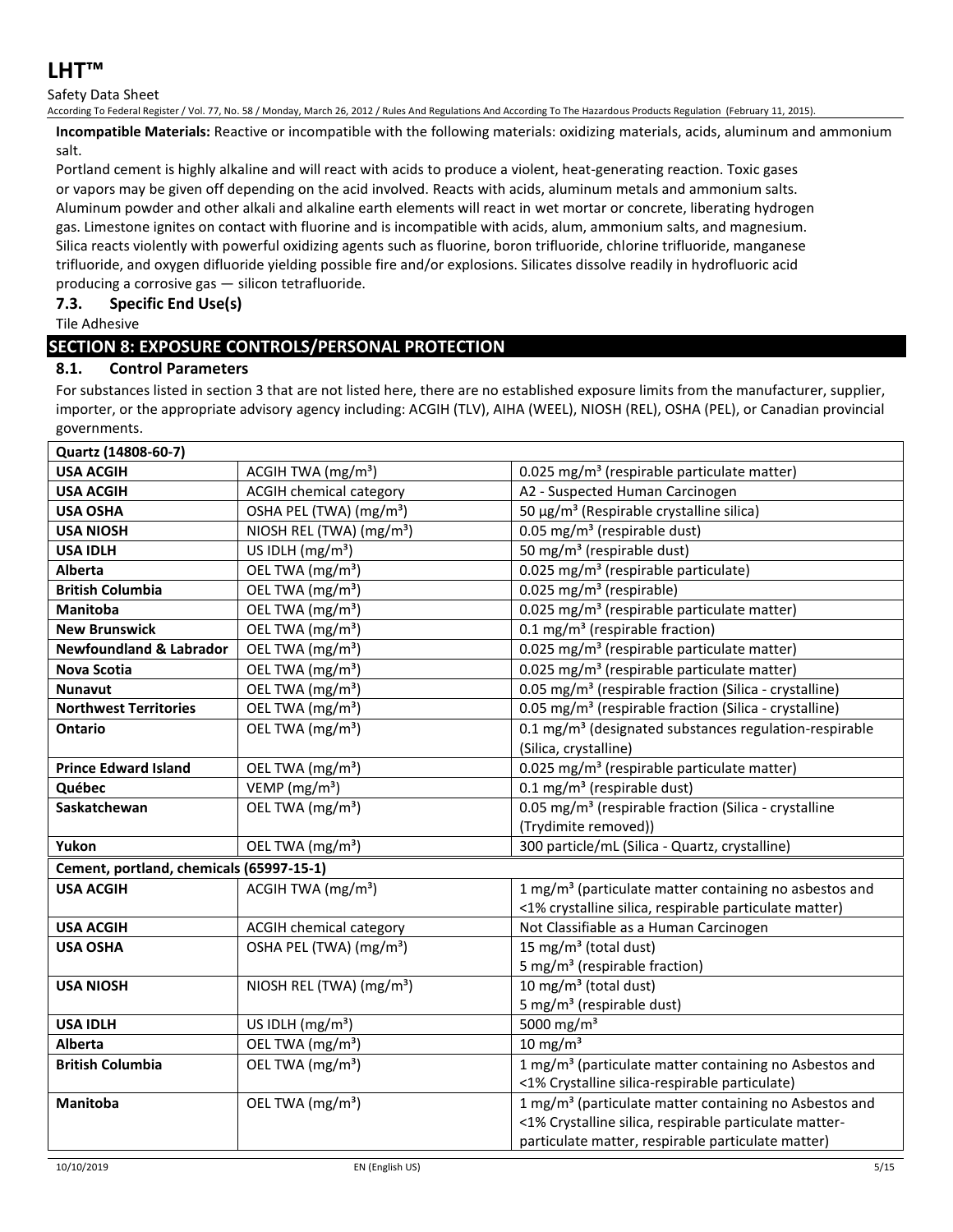## Safety Data Sheet

According To Federal Register / Vol. 77, No. 58 / Monday, March 26, 2012 / Rules And Regulations And According To The Hazardous Products Regulation (February 11, 2015).

**Incompatible Materials:** Reactive or incompatible with the following materials: oxidizing materials, acids, aluminum and ammonium salt.

Portland cement is highly alkaline and will react with acids to produce a violent, heat-generating reaction. Toxic gases or vapors may be given off depending on the acid involved. Reacts with acids, aluminum metals and ammonium salts. Aluminum powder and other alkali and alkaline earth elements will react in wet mortar or concrete, liberating hydrogen gas. Limestone ignites on contact with fluorine and is incompatible with acids, alum, ammonium salts, and magnesium. Silica reacts violently with powerful oxidizing agents such as fluorine, boron trifluoride, chlorine trifluoride, manganese trifluoride, and oxygen difluoride yielding possible fire and/or explosions. Silicates dissolve readily in hydrofluoric acid producing a corrosive gas — silicon tetrafluoride.

## **7.3. Specific End Use(s)**

Tile Adhesive

## **SECTION 8: EXPOSURE CONTROLS/PERSONAL PROTECTION**

## **8.1. Control Parameters**

For substances listed in section 3 that are not listed here, there are no established exposure limits from the manufacturer, supplier, importer, or the appropriate advisory agency including: ACGIH (TLV), AIHA (WEEL), NIOSH (REL), OSHA (PEL), or Canadian provincial governments.

| Quartz (14808-60-7)                                                                                  |                                      |                                                                    |  |
|------------------------------------------------------------------------------------------------------|--------------------------------------|--------------------------------------------------------------------|--|
| <b>USA ACGIH</b>                                                                                     | ACGIH TWA (mg/m <sup>3</sup> )       | 0.025 mg/m <sup>3</sup> (respirable particulate matter)            |  |
| <b>USA ACGIH</b>                                                                                     | <b>ACGIH chemical category</b>       | A2 - Suspected Human Carcinogen                                    |  |
| <b>USA OSHA</b>                                                                                      | OSHA PEL (TWA) (mg/m <sup>3</sup> )  | 50 μg/m <sup>3</sup> (Respirable crystalline silica)               |  |
| NIOSH REL (TWA) (mg/m <sup>3</sup> )<br>0.05 mg/m <sup>3</sup> (respirable dust)<br><b>USA NIOSH</b> |                                      |                                                                    |  |
| <b>USA IDLH</b>                                                                                      | US IDLH $(mg/m3)$                    | 50 mg/m <sup>3</sup> (respirable dust)                             |  |
| <b>Alberta</b>                                                                                       | OEL TWA (mg/m <sup>3</sup> )         | 0.025 mg/m <sup>3</sup> (respirable particulate)                   |  |
| <b>British Columbia</b>                                                                              | OEL TWA (mg/m <sup>3</sup> )         | $\overline{0.0}$ 25 mg/m <sup>3</sup> (respirable)                 |  |
| <b>Manitoba</b>                                                                                      | OEL TWA (mg/m <sup>3</sup> )         | 0.025 mg/m <sup>3</sup> (respirable particulate matter)            |  |
| <b>New Brunswick</b>                                                                                 | OEL TWA (mg/m <sup>3</sup> )         | $\overline{0.1}$ mg/m <sup>3</sup> (respirable fraction)           |  |
| <b>Newfoundland &amp; Labrador</b>                                                                   | OEL TWA (mg/m <sup>3</sup> )         | 0.025 mg/m <sup>3</sup> (respirable particulate matter)            |  |
| <b>Nova Scotia</b>                                                                                   | OEL TWA (mg/m <sup>3</sup> )         | 0.025 mg/m <sup>3</sup> (respirable particulate matter)            |  |
| <b>Nunavut</b>                                                                                       | OEL TWA (mg/m <sup>3</sup> )         | 0.05 mg/m <sup>3</sup> (respirable fraction (Silica - crystalline) |  |
| <b>Northwest Territories</b>                                                                         | OEL TWA (mg/m <sup>3</sup> )         | 0.05 mg/m <sup>3</sup> (respirable fraction (Silica - crystalline) |  |
| Ontario                                                                                              | OEL TWA (mg/m <sup>3</sup> )         | 0.1 mg/m <sup>3</sup> (designated substances regulation-respirable |  |
|                                                                                                      |                                      | (Silica, crystalline)                                              |  |
| OEL TWA (mg/m <sup>3</sup> )<br><b>Prince Edward Island</b>                                          |                                      | 0.025 mg/m <sup>3</sup> (respirable particulate matter)            |  |
| Québec                                                                                               | VEMP ( $mg/m3$ )                     | 0.1 mg/m <sup>3</sup> (respirable dust)                            |  |
| Saskatchewan                                                                                         | OEL TWA (mg/m <sup>3</sup> )         | 0.05 mg/m <sup>3</sup> (respirable fraction (Silica - crystalline  |  |
|                                                                                                      |                                      | (Trydimite removed))                                               |  |
| Yukon                                                                                                | OEL TWA (mg/m <sup>3</sup> )         | 300 particle/mL (Silica - Quartz, crystalline)                     |  |
| Cement, portland, chemicals (65997-15-1)                                                             |                                      |                                                                    |  |
| <b>USA ACGIH</b>                                                                                     | ACGIH TWA (mg/m <sup>3</sup> )       | 1 mg/m <sup>3</sup> (particulate matter containing no asbestos and |  |
|                                                                                                      |                                      | <1% crystalline silica, respirable particulate matter)             |  |
| <b>USA ACGIH</b>                                                                                     | <b>ACGIH chemical category</b>       | Not Classifiable as a Human Carcinogen                             |  |
| <b>USA OSHA</b>                                                                                      | OSHA PEL (TWA) (mg/m <sup>3</sup> )  | 15 mg/m <sup>3</sup> (total dust)                                  |  |
|                                                                                                      |                                      | 5 mg/m <sup>3</sup> (respirable fraction)                          |  |
| <b>USA NIOSH</b>                                                                                     | NIOSH REL (TWA) (mg/m <sup>3</sup> ) | 10 mg/m <sup>3</sup> (total dust)                                  |  |
|                                                                                                      |                                      | 5 mg/m <sup>3</sup> (respirable dust)                              |  |
| <b>USA IDLH</b>                                                                                      | US IDLH $(mg/m3)$                    | 5000 mg/m <sup>3</sup>                                             |  |
| <b>Alberta</b>                                                                                       | OEL TWA (mg/m <sup>3</sup> )         | $10 \text{ mg/m}^3$                                                |  |
| <b>British Columbia</b>                                                                              | OEL TWA (mg/m <sup>3</sup> )         | 1 mg/m <sup>3</sup> (particulate matter containing no Asbestos and |  |
|                                                                                                      |                                      | <1% Crystalline silica-respirable particulate)                     |  |
| Manitoba                                                                                             | OEL TWA (mg/m <sup>3</sup> )         | 1 mg/m <sup>3</sup> (particulate matter containing no Asbestos and |  |
|                                                                                                      |                                      | <1% Crystalline silica, respirable particulate matter-             |  |
|                                                                                                      |                                      | particulate matter, respirable particulate matter)                 |  |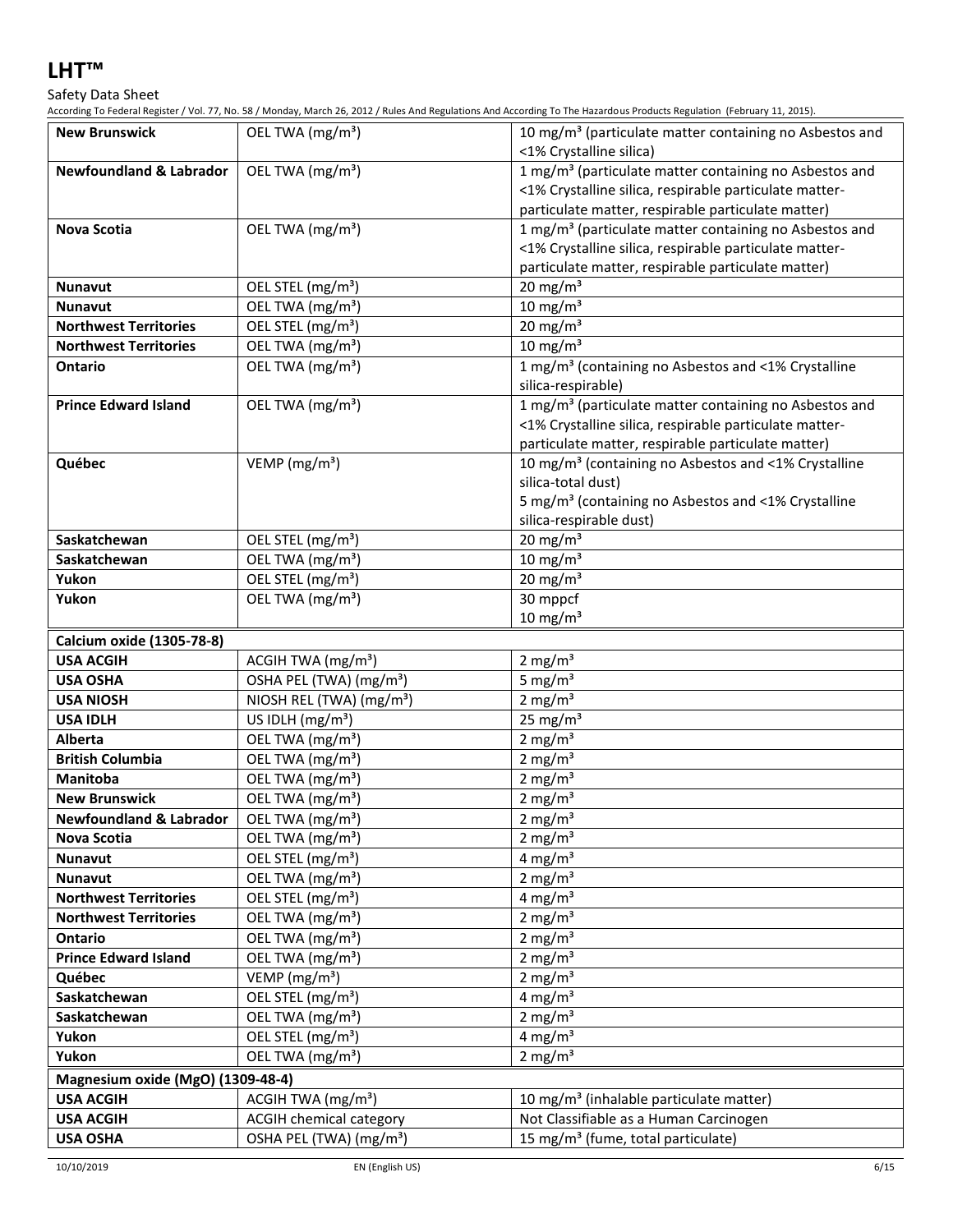Safety Data Sheet

According To Federal Register / Vol. 77, No. 58 / Monday, March 26, 2012 / Rules And Regulations And According To The Hazardous Products Regulation (February 11, 2015).

| <b>New Brunswick</b>               | OEL TWA (mg/m <sup>3</sup> )         | 10 mg/m <sup>3</sup> (particulate matter containing no Asbestos and |
|------------------------------------|--------------------------------------|---------------------------------------------------------------------|
|                                    |                                      | <1% Crystalline silica)                                             |
| <b>Newfoundland &amp; Labrador</b> | OEL TWA (mg/m <sup>3</sup> )         | 1 mg/m <sup>3</sup> (particulate matter containing no Asbestos and  |
|                                    |                                      | <1% Crystalline silica, respirable particulate matter-              |
|                                    |                                      | particulate matter, respirable particulate matter)                  |
| <b>Nova Scotia</b>                 | OEL TWA (mg/m <sup>3</sup> )         | 1 mg/m <sup>3</sup> (particulate matter containing no Asbestos and  |
|                                    |                                      | <1% Crystalline silica, respirable particulate matter-              |
|                                    |                                      | particulate matter, respirable particulate matter)                  |
| <b>Nunavut</b>                     | OEL STEL (mg/m <sup>3</sup> )        | 20 mg/m $3$                                                         |
| <b>Nunavut</b>                     | OEL TWA (mg/m <sup>3</sup> )         | $10 \text{ mg/m}^3$                                                 |
| <b>Northwest Territories</b>       | OEL STEL (mg/m <sup>3</sup> )        | 20 mg/m $3$                                                         |
| <b>Northwest Territories</b>       | OEL TWA (mg/m <sup>3</sup> )         | $10 \text{ mg/m}^3$                                                 |
| <b>Ontario</b>                     | OEL TWA (mg/m <sup>3</sup> )         | 1 mg/m <sup>3</sup> (containing no Asbestos and <1% Crystalline     |
|                                    |                                      | silica-respirable)                                                  |
| <b>Prince Edward Island</b>        | OEL TWA (mg/m <sup>3</sup> )         | 1 mg/m <sup>3</sup> (particulate matter containing no Asbestos and  |
|                                    |                                      | <1% Crystalline silica, respirable particulate matter-              |
|                                    |                                      | particulate matter, respirable particulate matter)                  |
| Québec                             | VEMP ( $mg/m3$ )                     | 10 mg/m <sup>3</sup> (containing no Asbestos and <1% Crystalline    |
|                                    |                                      | silica-total dust)                                                  |
|                                    |                                      | 5 mg/m <sup>3</sup> (containing no Asbestos and <1% Crystalline     |
|                                    |                                      | silica-respirable dust)                                             |
| Saskatchewan                       | OEL STEL (mg/m <sup>3</sup> )        | 20 mg/m $3$                                                         |
| Saskatchewan                       | OEL TWA (mg/m <sup>3</sup> )         | $10 \text{ mg/m}^3$                                                 |
| Yukon                              | OEL STEL (mg/m <sup>3</sup> )        | 20 mg/m $3$                                                         |
| Yukon                              | OEL TWA (mg/m <sup>3</sup> )         | 30 mppcf                                                            |
|                                    |                                      | $10 \text{ mg/m}^3$                                                 |
| Calcium oxide (1305-78-8)          |                                      |                                                                     |
| <b>USA ACGIH</b>                   | ACGIH TWA (mg/m <sup>3</sup> )       | 2 mg/ $m3$                                                          |
| <b>USA OSHA</b>                    | OSHA PEL (TWA) (mg/m <sup>3</sup> )  | 5 mg/ $m3$                                                          |
| <b>USA NIOSH</b>                   | NIOSH REL (TWA) (mg/m <sup>3</sup> ) | 2 mg/ $m3$                                                          |
| <b>USA IDLH</b>                    | US IDLH $(mg/m3)$                    | 25 mg/ $m3$                                                         |
| Alberta                            | OEL TWA (mg/m <sup>3</sup> )         | $2 \text{ mg/m}^3$                                                  |
| <b>British Columbia</b>            | OEL TWA (mg/m <sup>3</sup> )         | 2 mg/ $m3$                                                          |
| <b>Manitoba</b>                    | OEL TWA (mg/m <sup>3</sup> )         | 2 mg/ $m3$                                                          |
| <b>New Brunswick</b>               | OEL TWA (mg/m <sup>3</sup> )         | 2 mg/ $m3$                                                          |
| <b>Newfoundland &amp; Labrador</b> | OEL TWA (mg/m <sup>3</sup> )         | $\frac{1}{2}$ mg/m <sup>3</sup>                                     |
| Nova Scotia                        | OEL TWA (mg/m <sup>3</sup> )         | 2 mg/ $m3$                                                          |
| <b>Nunavut</b>                     | OEL STEL (mg/m <sup>3</sup> )        | 4 mg/ $m3$                                                          |
| Nunavut                            | OEL TWA (mg/m <sup>3</sup> )         | 2 mg/ $m3$                                                          |
| <b>Northwest Territories</b>       | OEL STEL (mg/m <sup>3</sup> )        | 4 mg/ $m3$                                                          |
| <b>Northwest Territories</b>       | OEL TWA (mg/m <sup>3</sup> )         | 2 mg/ $m3$                                                          |
| Ontario                            | OEL TWA (mg/m <sup>3</sup> )         | 2 mg/ $m3$                                                          |
| <b>Prince Edward Island</b>        | OEL TWA (mg/m <sup>3</sup> )         | 2 mg/ $m3$                                                          |
| Québec                             | VEMP ( $mg/m3$ )                     | 2 mg/ $m3$                                                          |
| Saskatchewan                       | OEL STEL (mg/m <sup>3</sup> )        | 4 mg/ $m3$                                                          |
| Saskatchewan<br>Yukon              | OEL TWA (mg/m <sup>3</sup> )         | 2 mg/ $m3$                                                          |
|                                    | OEL STEL (mg/m <sup>3</sup> )        | 4 mg/ $m3$                                                          |
| Yukon                              | OEL TWA (mg/m <sup>3</sup> )         | 2 mg/ $m3$                                                          |
| Magnesium oxide (MgO) (1309-48-4)  |                                      |                                                                     |
| <b>USA ACGIH</b>                   | ACGIH TWA (mg/m <sup>3</sup> )       | 10 mg/m <sup>3</sup> (inhalable particulate matter)                 |
| <b>USA ACGIH</b>                   | <b>ACGIH chemical category</b>       | Not Classifiable as a Human Carcinogen                              |
| <b>USA OSHA</b>                    | OSHA PEL (TWA) (mg/m <sup>3</sup> )  | 15 mg/m <sup>3</sup> (fume, total particulate)                      |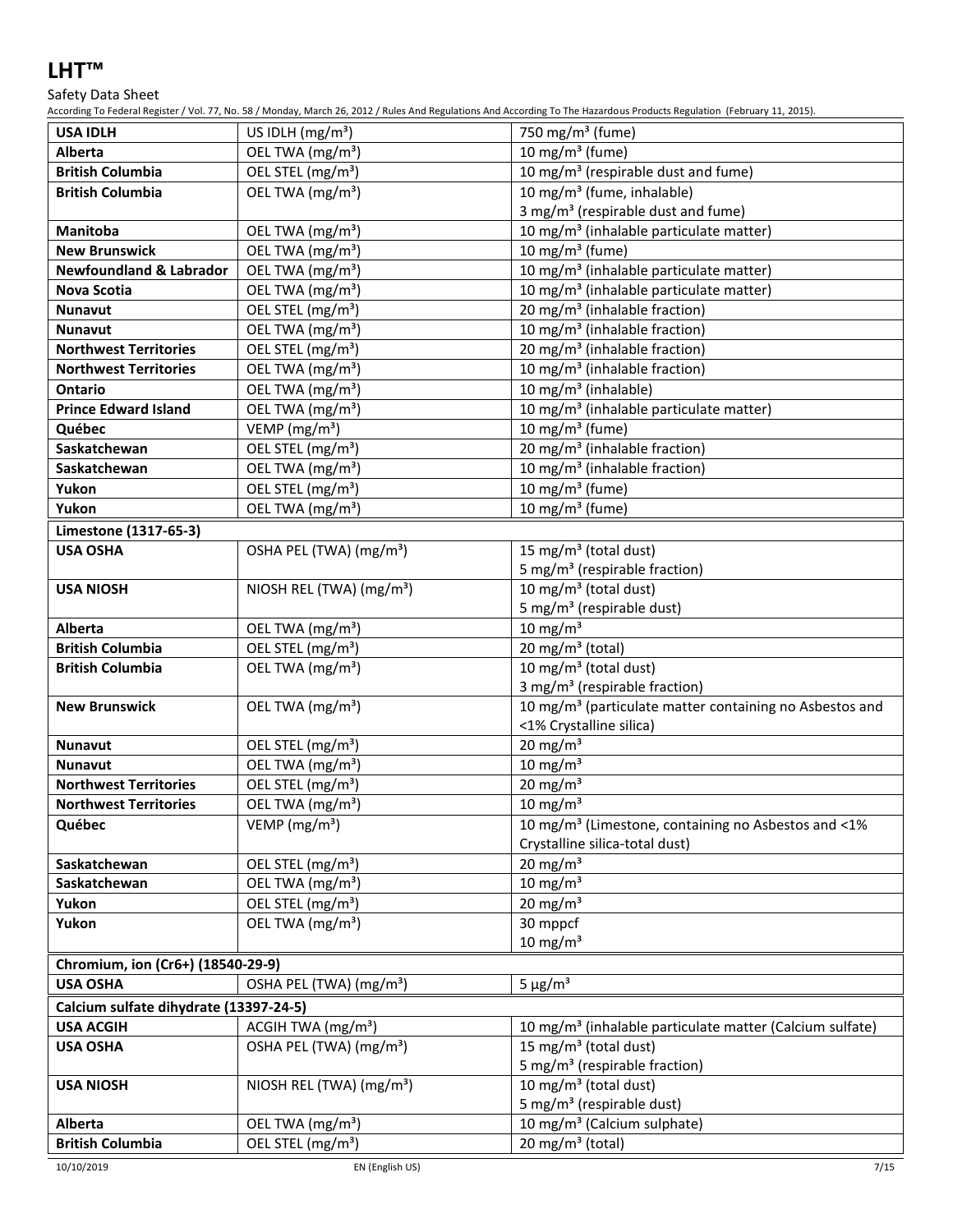#### Safety Data Sheet

According To Federal Register / Vol. 77, No. 58 / Monday, March 26, 2012 / Rules And Regulations And According To The Hazardous Products Regulation (February 11, 2015).

| <b>USA IDLH</b>                        | US IDLH $(mg/m3)$                                                                | 750 mg/m <sup>3</sup> (fume)                                         |  |
|----------------------------------------|----------------------------------------------------------------------------------|----------------------------------------------------------------------|--|
| <b>Alberta</b>                         | OEL TWA (mg/m <sup>3</sup> )                                                     | 10 mg/m $3$ (fume)                                                   |  |
| <b>British Columbia</b>                | OEL STEL (mg/m <sup>3</sup> )<br>10 mg/m <sup>3</sup> (respirable dust and fume) |                                                                      |  |
| <b>British Columbia</b>                | OEL TWA (mg/m <sup>3</sup> )                                                     | 10 mg/m <sup>3</sup> (fume, inhalable)                               |  |
|                                        |                                                                                  | 3 mg/m <sup>3</sup> (respirable dust and fume)                       |  |
| <b>Manitoba</b>                        | OEL TWA (mg/m <sup>3</sup> )                                                     | 10 mg/m <sup>3</sup> (inhalable particulate matter)                  |  |
| <b>New Brunswick</b>                   | OEL TWA (mg/m <sup>3</sup> )                                                     | 10 mg/m $3$ (fume)                                                   |  |
| <b>Newfoundland &amp; Labrador</b>     | OEL TWA (mg/m <sup>3</sup> )                                                     | 10 mg/m <sup>3</sup> (inhalable particulate matter)                  |  |
| <b>Nova Scotia</b>                     | OEL TWA (mg/m <sup>3</sup> )                                                     | 10 mg/m <sup>3</sup> (inhalable particulate matter)                  |  |
| Nunavut                                | OEL STEL (mg/m <sup>3</sup> )                                                    | 20 mg/m <sup>3</sup> (inhalable fraction)                            |  |
| <b>Nunavut</b>                         | OEL TWA (mg/m <sup>3</sup> )                                                     | 10 mg/m <sup>3</sup> (inhalable fraction)                            |  |
| <b>Northwest Territories</b>           | OEL STEL (mg/m <sup>3</sup> )                                                    | 20 mg/m <sup>3</sup> (inhalable fraction)                            |  |
| <b>Northwest Territories</b>           | OEL TWA (mg/m <sup>3</sup> )                                                     | 10 mg/m <sup>3</sup> (inhalable fraction)                            |  |
| <b>Ontario</b>                         | OEL TWA (mg/m <sup>3</sup> )                                                     | 10 mg/m <sup>3</sup> (inhalable)                                     |  |
| <b>Prince Edward Island</b>            | OEL TWA (mg/m <sup>3</sup> )                                                     | 10 mg/m <sup>3</sup> (inhalable particulate matter)                  |  |
| Québec                                 | VEMP ( $mg/m3$ )                                                                 | 10 mg/m <sup>3</sup> (fume)                                          |  |
| Saskatchewan                           | OEL STEL (mg/m <sup>3</sup> )                                                    | 20 mg/m <sup>3</sup> (inhalable fraction)                            |  |
| Saskatchewan                           | OEL TWA (mg/m <sup>3</sup> )                                                     | 10 mg/m <sup>3</sup> (inhalable fraction)                            |  |
| Yukon                                  | OEL STEL (mg/m <sup>3</sup> )                                                    | 10 mg/m $3$ (fume)                                                   |  |
| Yukon                                  | OEL TWA (mg/m <sup>3</sup> )                                                     | 10 mg/m $3$ (fume)                                                   |  |
|                                        |                                                                                  |                                                                      |  |
| Limestone (1317-65-3)                  |                                                                                  |                                                                      |  |
| <b>USA OSHA</b>                        | OSHA PEL (TWA) (mg/m <sup>3</sup> )                                              | 15 mg/m <sup>3</sup> (total dust)                                    |  |
|                                        |                                                                                  | 5 mg/m <sup>3</sup> (respirable fraction)                            |  |
| <b>USA NIOSH</b>                       | NIOSH REL (TWA) (mg/m <sup>3</sup> )                                             | 10 mg/m <sup>3</sup> (total dust)                                    |  |
|                                        |                                                                                  | 5 mg/m <sup>3</sup> (respirable dust)                                |  |
| <b>Alberta</b>                         | OEL TWA (mg/m <sup>3</sup> )                                                     | $10 \text{ mg/m}^3$                                                  |  |
| <b>British Columbia</b>                | OEL STEL (mg/m <sup>3</sup> )                                                    | 20 mg/m <sup>3</sup> (total)                                         |  |
| <b>British Columbia</b>                | OEL TWA (mg/m <sup>3</sup> )                                                     | $\overline{10 \text{ mg/m}^3}$ (total dust)                          |  |
|                                        |                                                                                  | 3 mg/m <sup>3</sup> (respirable fraction)                            |  |
| <b>New Brunswick</b>                   | OEL TWA (mg/m <sup>3</sup> )                                                     | 10 mg/m <sup>3</sup> (particulate matter containing no Asbestos and  |  |
|                                        |                                                                                  | <1% Crystalline silica)                                              |  |
| <b>Nunavut</b>                         | OEL STEL (mg/m <sup>3</sup> )                                                    | 20 mg/m $3$                                                          |  |
| <b>Nunavut</b>                         | OEL TWA (mg/m <sup>3</sup> )                                                     | $10 \text{ mg/m}^3$                                                  |  |
| <b>Northwest Territories</b>           | OEL STEL (mg/m <sup>3</sup> )                                                    | $20 \text{ mg/m}^3$                                                  |  |
| <b>Northwest Territories</b>           | OEL TWA (mg/m <sup>3</sup> )                                                     | 10 mg/m $3$                                                          |  |
| Québec                                 | VEMP ( $mg/m3$ )                                                                 | 10 mg/m <sup>3</sup> (Limestone, containing no Asbestos and <1%      |  |
|                                        |                                                                                  | Crystalline silica-total dust)                                       |  |
| Saskatchewan                           | OEL STEL (mg/m <sup>3</sup> )                                                    | $20 \text{ mg/m}^3$                                                  |  |
| Saskatchewan                           | OEL TWA (mg/m <sup>3</sup> )                                                     | 10 mg/m $3$                                                          |  |
| Yukon                                  | OEL STEL (mg/m <sup>3</sup> )                                                    | 20 mg/m $3$                                                          |  |
| Yukon                                  | OEL TWA (mg/m <sup>3</sup> )                                                     | 30 mppcf                                                             |  |
|                                        |                                                                                  | 10 mg/m $3$                                                          |  |
| Chromium, ion (Cr6+) (18540-29-9)      |                                                                                  |                                                                      |  |
| <b>USA OSHA</b>                        | OSHA PEL (TWA) (mg/m <sup>3</sup> )                                              | $5 \mu g/m^3$                                                        |  |
| Calcium sulfate dihydrate (13397-24-5) |                                                                                  |                                                                      |  |
| <b>USA ACGIH</b>                       | ACGIH TWA (mg/m <sup>3</sup> )                                                   | 10 mg/m <sup>3</sup> (inhalable particulate matter (Calcium sulfate) |  |
| <b>USA OSHA</b>                        | OSHA PEL (TWA) (mg/m <sup>3</sup> )                                              | 15 mg/m <sup>3</sup> (total dust)                                    |  |
|                                        |                                                                                  | 5 mg/m <sup>3</sup> (respirable fraction)                            |  |
| <b>USA NIOSH</b>                       | NIOSH REL (TWA) (mg/m <sup>3</sup> )                                             | 10 mg/m <sup>3</sup> (total dust)                                    |  |
|                                        |                                                                                  | 5 mg/m <sup>3</sup> (respirable dust)                                |  |
| Alberta                                | OEL TWA (mg/m <sup>3</sup> )                                                     | 10 mg/m <sup>3</sup> (Calcium sulphate)                              |  |
| <b>British Columbia</b>                | OEL STEL (mg/m <sup>3</sup> )                                                    | 20 mg/m <sup>3</sup> (total)                                         |  |
|                                        |                                                                                  |                                                                      |  |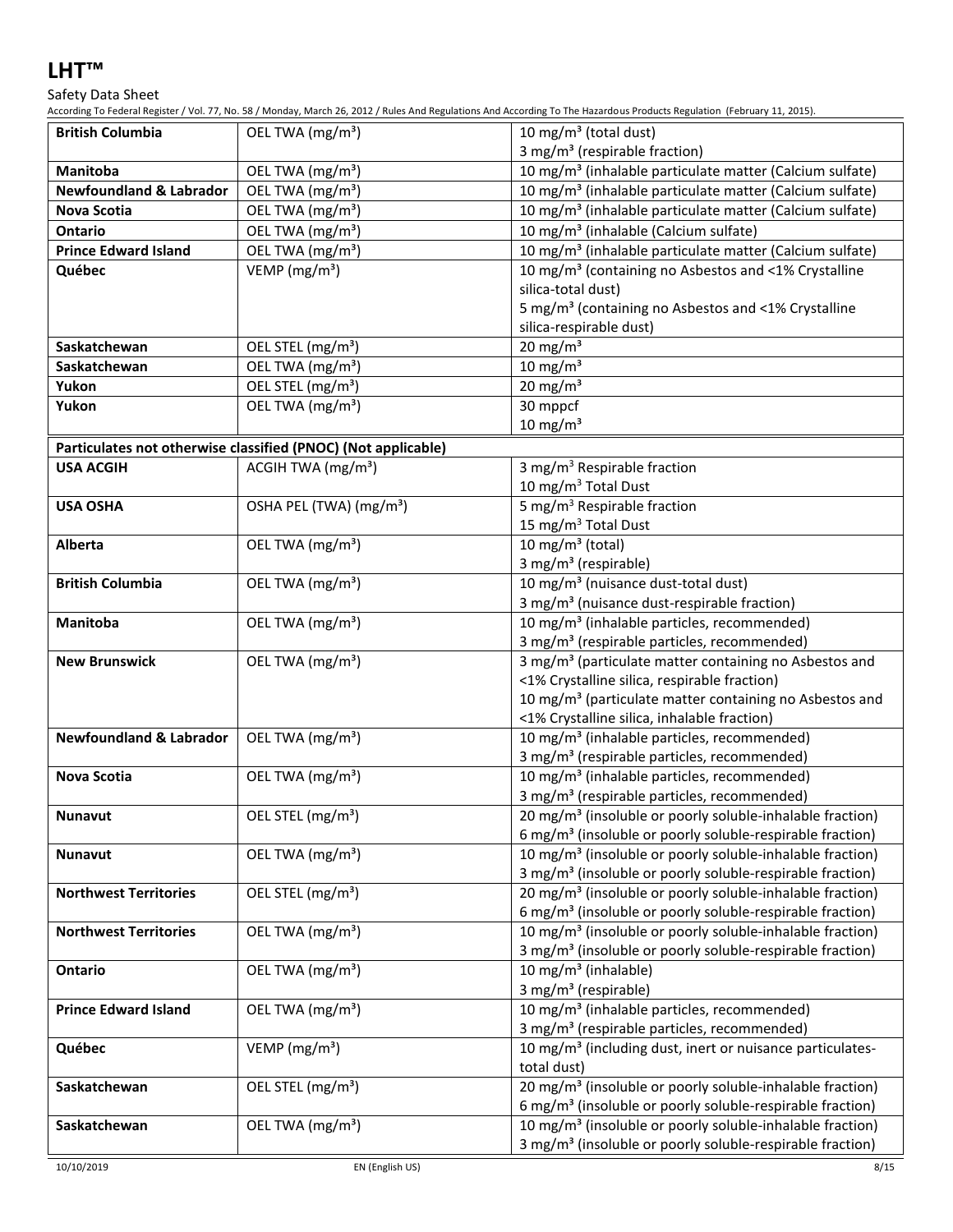Safety Data Sheet

According To Federal Register / Vol. 77, No. 58 / Monday, March 26, 2012 / Rules And Regulations And According To The Hazardous Products Regulation (February 11, 2015).

| <b>British Columbia</b>            | OEL TWA (mg/m <sup>3</sup> )                                  | 10 mg/m $3$ (total dust)                                                                                           |
|------------------------------------|---------------------------------------------------------------|--------------------------------------------------------------------------------------------------------------------|
|                                    |                                                               | 3 mg/m <sup>3</sup> (respirable fraction)                                                                          |
| Manitoba                           | OEL TWA (mg/m <sup>3</sup> )                                  | 10 mg/m <sup>3</sup> (inhalable particulate matter (Calcium sulfate)                                               |
| <b>Newfoundland &amp; Labrador</b> | OEL TWA (mg/m <sup>3</sup> )                                  | 10 mg/m <sup>3</sup> (inhalable particulate matter (Calcium sulfate)                                               |
| <b>Nova Scotia</b>                 | OEL TWA (mg/m <sup>3</sup> )                                  | 10 mg/m <sup>3</sup> (inhalable particulate matter (Calcium sulfate)                                               |
| Ontario                            | OEL TWA (mg/m <sup>3</sup> )                                  | 10 mg/m <sup>3</sup> (inhalable (Calcium sulfate)                                                                  |
| <b>Prince Edward Island</b>        | OEL TWA (mg/m <sup>3</sup> )                                  | 10 mg/m <sup>3</sup> (inhalable particulate matter (Calcium sulfate)                                               |
| Québec                             | VEMP ( $mg/m3$ )                                              | 10 mg/m <sup>3</sup> (containing no Asbestos and <1% Crystalline                                                   |
|                                    |                                                               | silica-total dust)                                                                                                 |
|                                    |                                                               | 5 mg/m <sup>3</sup> (containing no Asbestos and <1% Crystalline                                                    |
|                                    |                                                               | silica-respirable dust)                                                                                            |
| Saskatchewan                       | OEL STEL (mg/m <sup>3</sup> )                                 | 20 mg/m $3$                                                                                                        |
| Saskatchewan                       | OEL TWA (mg/m <sup>3</sup> )                                  | 10 mg/m $3$                                                                                                        |
| Yukon                              | OEL STEL (mg/m <sup>3</sup> )                                 | 20 mg/m $3$                                                                                                        |
| Yukon                              | OEL TWA (mg/m <sup>3</sup> )                                  | 30 mppcf                                                                                                           |
|                                    |                                                               | 10 mg/m $3$                                                                                                        |
|                                    | Particulates not otherwise classified (PNOC) (Not applicable) |                                                                                                                    |
| <b>USA ACGIH</b>                   | ACGIH TWA (mg/m <sup>3</sup> )                                | 3 mg/m <sup>3</sup> Respirable fraction                                                                            |
|                                    |                                                               | 10 mg/m <sup>3</sup> Total Dust                                                                                    |
| <b>USA OSHA</b>                    | OSHA PEL (TWA) (mg/m <sup>3</sup> )                           | 5 mg/m <sup>3</sup> Respirable fraction                                                                            |
|                                    |                                                               | 15 mg/m <sup>3</sup> Total Dust                                                                                    |
| Alberta                            | OEL TWA (mg/m <sup>3</sup> )                                  | 10 mg/m $3$ (total)                                                                                                |
|                                    |                                                               | 3 mg/m <sup>3</sup> (respirable)                                                                                   |
| <b>British Columbia</b>            | OEL TWA (mg/m <sup>3</sup> )                                  | 10 mg/m <sup>3</sup> (nuisance dust-total dust)                                                                    |
|                                    |                                                               | 3 mg/m <sup>3</sup> (nuisance dust-respirable fraction)                                                            |
| <b>Manitoba</b>                    | OEL TWA (mg/m <sup>3</sup> )                                  | 10 mg/m <sup>3</sup> (inhalable particles, recommended)                                                            |
|                                    |                                                               | 3 mg/m <sup>3</sup> (respirable particles, recommended)                                                            |
| <b>New Brunswick</b>               | OEL TWA (mg/m <sup>3</sup> )                                  | 3 mg/m <sup>3</sup> (particulate matter containing no Asbestos and                                                 |
|                                    |                                                               | <1% Crystalline silica, respirable fraction)                                                                       |
|                                    |                                                               | 10 mg/m <sup>3</sup> (particulate matter containing no Asbestos and                                                |
|                                    |                                                               | <1% Crystalline silica, inhalable fraction)                                                                        |
| <b>Newfoundland &amp; Labrador</b> | OEL TWA (mg/m <sup>3</sup> )                                  | 10 mg/m <sup>3</sup> (inhalable particles, recommended)                                                            |
| <b>Nova Scotia</b>                 | OEL TWA (mg/m <sup>3</sup> )                                  | 3 mg/m <sup>3</sup> (respirable particles, recommended)<br>10 mg/m <sup>3</sup> (inhalable particles, recommended) |
|                                    |                                                               | 3 mg/m <sup>3</sup> (respirable particles, recommended)                                                            |
| <b>Nunavut</b>                     | OEL STEL (mg/m <sup>3</sup> )                                 | 20 mg/m <sup>3</sup> (insoluble or poorly soluble-inhalable fraction)                                              |
|                                    |                                                               | 6 mg/m <sup>3</sup> (insoluble or poorly soluble-respirable fraction)                                              |
| <b>Nunavut</b>                     | OEL TWA (mg/m <sup>3</sup> )                                  | 10 mg/m <sup>3</sup> (insoluble or poorly soluble-inhalable fraction)                                              |
|                                    |                                                               | 3 mg/m <sup>3</sup> (insoluble or poorly soluble-respirable fraction)                                              |
| <b>Northwest Territories</b>       | OEL STEL (mg/m <sup>3</sup> )                                 | 20 mg/m <sup>3</sup> (insoluble or poorly soluble-inhalable fraction)                                              |
|                                    |                                                               | 6 mg/m <sup>3</sup> (insoluble or poorly soluble-respirable fraction)                                              |
| <b>Northwest Territories</b>       | OEL TWA (mg/m <sup>3</sup> )                                  | 10 mg/m <sup>3</sup> (insoluble or poorly soluble-inhalable fraction)                                              |
|                                    |                                                               | 3 mg/m <sup>3</sup> (insoluble or poorly soluble-respirable fraction)                                              |
| Ontario                            | OEL TWA (mg/m <sup>3</sup> )                                  | 10 mg/m <sup>3</sup> (inhalable)                                                                                   |
|                                    |                                                               | 3 mg/m <sup>3</sup> (respirable)                                                                                   |
| <b>Prince Edward Island</b>        | OEL TWA (mg/m <sup>3</sup> )                                  | 10 mg/m <sup>3</sup> (inhalable particles, recommended)                                                            |
|                                    |                                                               | 3 mg/m <sup>3</sup> (respirable particles, recommended)                                                            |
| Québec                             | VEMP ( $mg/m3$ )                                              | 10 mg/m <sup>3</sup> (including dust, inert or nuisance particulates-                                              |
|                                    |                                                               | total dust)                                                                                                        |
| Saskatchewan                       | OEL STEL (mg/m <sup>3</sup> )                                 | 20 mg/m <sup>3</sup> (insoluble or poorly soluble-inhalable fraction)                                              |
|                                    |                                                               | 6 mg/m <sup>3</sup> (insoluble or poorly soluble-respirable fraction)                                              |
| Saskatchewan                       | OEL TWA (mg/m <sup>3</sup> )                                  | 10 mg/m <sup>3</sup> (insoluble or poorly soluble-inhalable fraction)                                              |
|                                    |                                                               | 3 mg/m <sup>3</sup> (insoluble or poorly soluble-respirable fraction)                                              |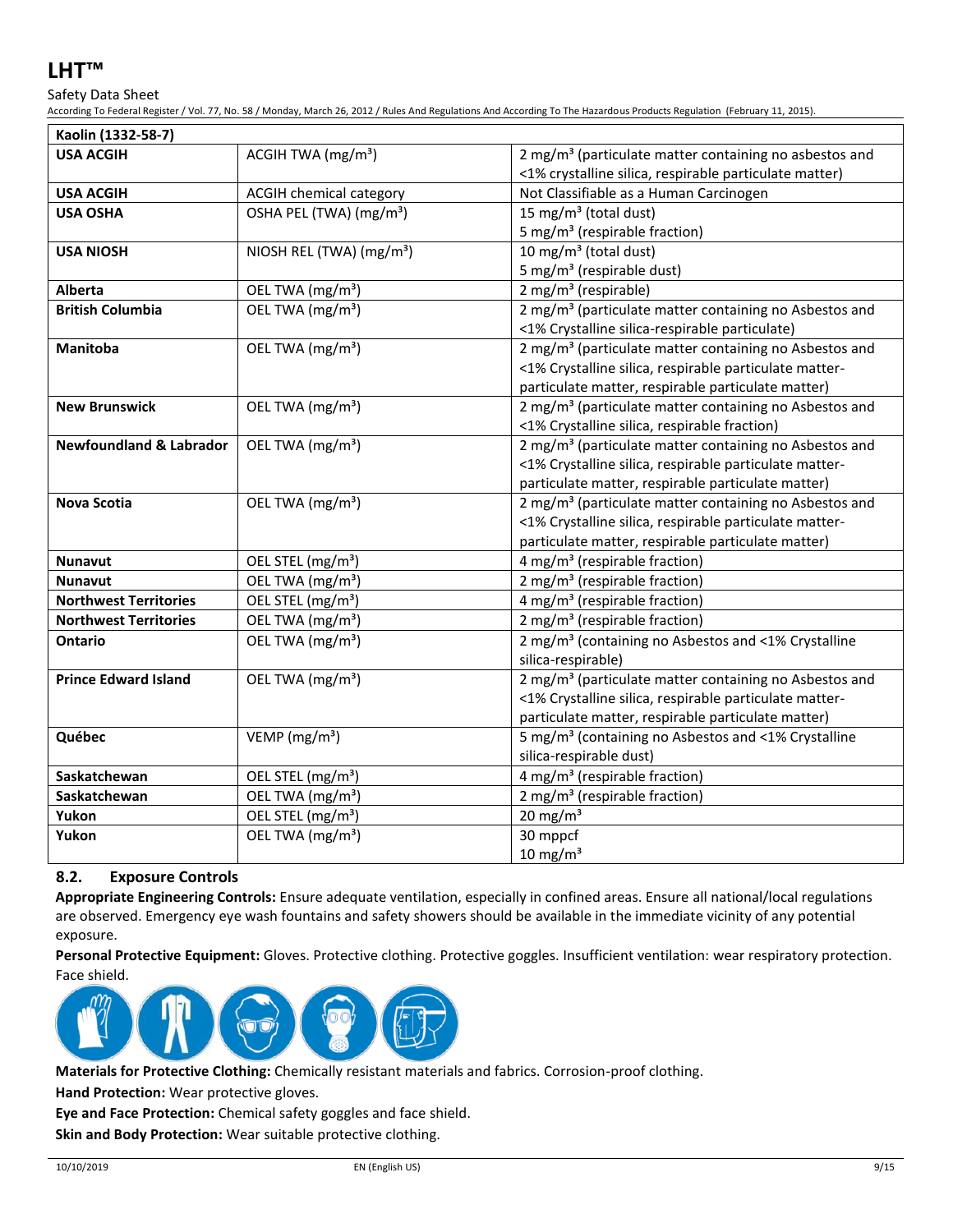Safety Data Sheet

According To Federal Register / Vol. 77, No. 58 / Monday, March 26, 2012 / Rules And Regulations And According To The Hazardous Products Regulation (February 11, 2015).

| Kaolin (1332-58-7)                 |                                      |                                                                    |
|------------------------------------|--------------------------------------|--------------------------------------------------------------------|
| <b>USA ACGIH</b>                   | ACGIH TWA (mg/m <sup>3</sup> )       | 2 mg/m <sup>3</sup> (particulate matter containing no asbestos and |
|                                    |                                      | <1% crystalline silica, respirable particulate matter)             |
| <b>USA ACGIH</b>                   | ACGIH chemical category              | Not Classifiable as a Human Carcinogen                             |
| <b>USA OSHA</b>                    | OSHA PEL (TWA) (mg/m <sup>3</sup> )  | 15 mg/m <sup>3</sup> (total dust)                                  |
|                                    |                                      | 5 mg/m <sup>3</sup> (respirable fraction)                          |
| <b>USA NIOSH</b>                   | NIOSH REL (TWA) (mg/m <sup>3</sup> ) | 10 mg/m <sup>3</sup> (total dust)                                  |
|                                    |                                      | 5 mg/m <sup>3</sup> (respirable dust)                              |
| Alberta                            | OEL TWA (mg/m <sup>3</sup> )         | 2 mg/m <sup>3</sup> (respirable)                                   |
| <b>British Columbia</b>            | OEL TWA (mg/m <sup>3</sup> )         | 2 mg/m <sup>3</sup> (particulate matter containing no Asbestos and |
|                                    |                                      | <1% Crystalline silica-respirable particulate)                     |
| <b>Manitoba</b>                    | OEL TWA (mg/m <sup>3</sup> )         | 2 mg/m <sup>3</sup> (particulate matter containing no Asbestos and |
|                                    |                                      | <1% Crystalline silica, respirable particulate matter-             |
|                                    |                                      | particulate matter, respirable particulate matter)                 |
| <b>New Brunswick</b>               | OEL TWA (mg/m <sup>3</sup> )         | 2 mg/m <sup>3</sup> (particulate matter containing no Asbestos and |
|                                    |                                      | <1% Crystalline silica, respirable fraction)                       |
| <b>Newfoundland &amp; Labrador</b> | OEL TWA (mg/m <sup>3</sup> )         | 2 mg/m <sup>3</sup> (particulate matter containing no Asbestos and |
|                                    |                                      | <1% Crystalline silica, respirable particulate matter-             |
|                                    |                                      | particulate matter, respirable particulate matter)                 |
| <b>Nova Scotia</b>                 | OEL TWA (mg/m <sup>3</sup> )         | 2 mg/m <sup>3</sup> (particulate matter containing no Asbestos and |
|                                    |                                      | <1% Crystalline silica, respirable particulate matter-             |
|                                    |                                      | particulate matter, respirable particulate matter)                 |
| <b>Nunavut</b>                     | OEL STEL (mg/m <sup>3</sup> )        | 4 mg/m <sup>3</sup> (respirable fraction)                          |
| <b>Nunavut</b>                     | OEL TWA (mg/m <sup>3</sup> )         | 2 mg/m <sup>3</sup> (respirable fraction)                          |
| <b>Northwest Territories</b>       | OEL STEL (mg/m <sup>3</sup> )        | 4 mg/m <sup>3</sup> (respirable fraction)                          |
| <b>Northwest Territories</b>       | OEL TWA (mg/m <sup>3</sup> )         | 2 mg/m <sup>3</sup> (respirable fraction)                          |
| Ontario                            | OEL TWA (mg/m <sup>3</sup> )         | 2 mg/m <sup>3</sup> (containing no Asbestos and <1% Crystalline    |
|                                    |                                      | silica-respirable)                                                 |
| <b>Prince Edward Island</b>        | OEL TWA (mg/m <sup>3</sup> )         | 2 mg/m <sup>3</sup> (particulate matter containing no Asbestos and |
|                                    |                                      | <1% Crystalline silica, respirable particulate matter-             |
|                                    |                                      | particulate matter, respirable particulate matter)                 |
| Québec                             | VEMP ( $mg/m3$ )                     | 5 mg/m <sup>3</sup> (containing no Asbestos and <1% Crystalline    |
|                                    |                                      | silica-respirable dust)                                            |
| Saskatchewan                       | OEL STEL (mg/m <sup>3</sup> )        | $\frac{1}{4}$ mg/m <sup>3</sup> (respirable fraction)              |
| Saskatchewan                       | OEL TWA (mg/m <sup>3</sup> )         | 2 mg/m <sup>3</sup> (respirable fraction)                          |
| Yukon                              | OEL STEL (mg/m <sup>3</sup> )        | 20 mg/m $3$                                                        |
| Yukon                              | OEL TWA (mg/m <sup>3</sup> )         | 30 mppcf                                                           |
|                                    |                                      | $10 \text{ mg/m}^3$                                                |

## **8.2. Exposure Controls**

**Appropriate Engineering Controls:** Ensure adequate ventilation, especially in confined areas. Ensure all national/local regulations are observed. Emergency eye wash fountains and safety showers should be available in the immediate vicinity of any potential exposure.

**Personal Protective Equipment:** Gloves. Protective clothing. Protective goggles. Insufficient ventilation: wear respiratory protection. Face shield.



**Materials for Protective Clothing:** Chemically resistant materials and fabrics. Corrosion-proof clothing.

**Hand Protection:** Wear protective gloves.

**Eye and Face Protection:** Chemical safety goggles and face shield.

**Skin and Body Protection:** Wear suitable protective clothing.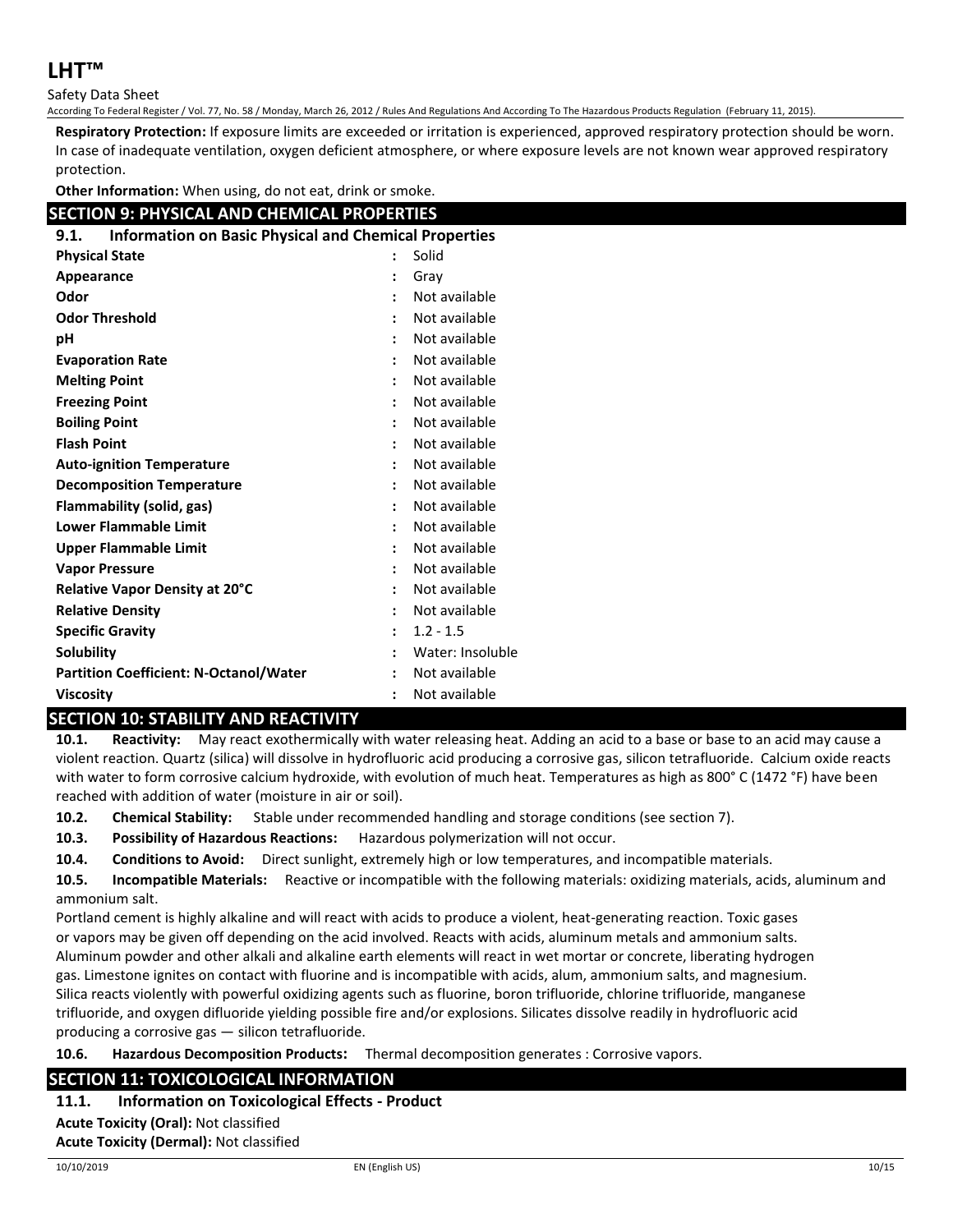Safety Data Sheet

According To Federal Register / Vol. 77, No. 58 / Monday, March 26, 2012 / Rules And Regulations And According To The Hazardous Products Regulation (February 11, 2015).

**Respiratory Protection:** If exposure limits are exceeded or irritation is experienced, approved respiratory protection should be worn. In case of inadequate ventilation, oxygen deficient atmosphere, or where exposure levels are not known wear approved respiratory protection.

**Other Information:** When using, do not eat, drink or smoke.

## **SECTION 9: PHYSICAL AND CHEMICAL PROPERTIES**

| <b>Information on Basic Physical and Chemical Properties</b><br>9.1. |                      |                  |
|----------------------------------------------------------------------|----------------------|------------------|
| <b>Physical State</b><br>Solid                                       |                      |                  |
| Appearance                                                           |                      | Gray             |
| Odor                                                                 |                      | Not available    |
| <b>Odor Threshold</b>                                                |                      | Not available    |
| рH                                                                   | $\ddot{\phantom{a}}$ | Not available    |
| <b>Evaporation Rate</b>                                              |                      | Not available    |
| <b>Melting Point</b>                                                 | $\ddot{\phantom{a}}$ | Not available    |
| <b>Freezing Point</b>                                                | $\ddot{\phantom{a}}$ | Not available    |
| <b>Boiling Point</b>                                                 |                      | Not available    |
| <b>Flash Point</b>                                                   | $\ddot{\phantom{a}}$ | Not available    |
| <b>Auto-ignition Temperature</b>                                     |                      | Not available    |
| <b>Decomposition Temperature</b>                                     |                      | Not available    |
| <b>Flammability (solid, gas)</b>                                     | ÷                    | Not available    |
| <b>Lower Flammable Limit</b>                                         | $\ddot{\phantom{a}}$ | Not available    |
| <b>Upper Flammable Limit</b>                                         | ÷                    | Not available    |
| <b>Vapor Pressure</b>                                                |                      | Not available    |
| Relative Vapor Density at 20°C                                       |                      | Not available    |
| <b>Relative Density</b>                                              |                      | Not available    |
| <b>Specific Gravity</b>                                              | $\ddot{\phantom{a}}$ | $1.2 - 1.5$      |
| Solubility                                                           | $\ddot{\cdot}$       | Water: Insoluble |
| <b>Partition Coefficient: N-Octanol/Water</b>                        | $\ddot{\phantom{a}}$ | Not available    |
| <b>Viscosity</b>                                                     |                      | Not available    |

## **SECTION 10: STABILITY AND REACTIVITY**

**10.1. Reactivity:** May react exothermically with water releasing heat. Adding an acid to a base or base to an acid may cause a violent reaction. Quartz (silica) will dissolve in hydrofluoric acid producing a corrosive gas, silicon tetrafluoride. Calcium oxide reacts with water to form corrosive calcium hydroxide, with evolution of much heat. Temperatures as high as 800° C (1472 °F) have been reached with addition of water (moisture in air or soil).

**10.2. Chemical Stability:** Stable under recommended handling and storage conditions (see section 7).

**10.3. Possibility of Hazardous Reactions:** Hazardous polymerization will not occur.

**10.4. Conditions to Avoid:** Direct sunlight, extremely high or low temperatures, and incompatible materials.

**10.5. Incompatible Materials:** Reactive or incompatible with the following materials: oxidizing materials, acids, aluminum and ammonium salt.

Portland cement is highly alkaline and will react with acids to produce a violent, heat-generating reaction. Toxic gases or vapors may be given off depending on the acid involved. Reacts with acids, aluminum metals and ammonium salts. Aluminum powder and other alkali and alkaline earth elements will react in wet mortar or concrete, liberating hydrogen gas. Limestone ignites on contact with fluorine and is incompatible with acids, alum, ammonium salts, and magnesium. Silica reacts violently with powerful oxidizing agents such as fluorine, boron trifluoride, chlorine trifluoride, manganese trifluoride, and oxygen difluoride yielding possible fire and/or explosions. Silicates dissolve readily in hydrofluoric acid producing a corrosive gas — silicon tetrafluoride.

**10.6. Hazardous Decomposition Products:** Thermal decomposition generates : Corrosive vapors.

## **SECTION 11: TOXICOLOGICAL INFORMATION**

## **11.1. Information on Toxicological Effects - Product**

**Acute Toxicity (Oral):** Not classified **Acute Toxicity (Dermal):** Not classified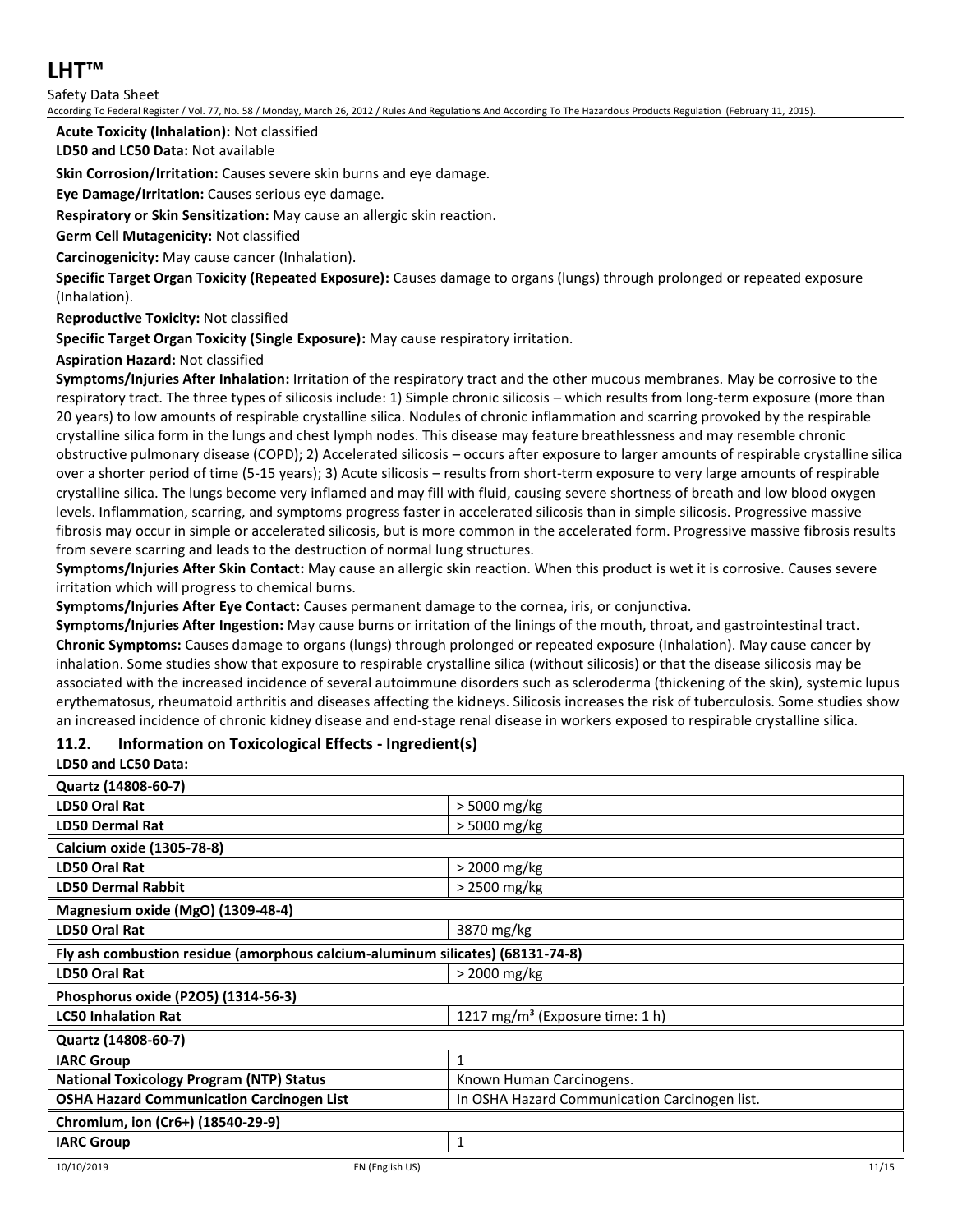Safety Data Sheet

According To Federal Register / Vol. 77, No. 58 / Monday, March 26, 2012 / Rules And Regulations And According To The Hazardous Products Regulation (February 11, 2015).

**Acute Toxicity (Inhalation):** Not classified

**LD50 and LC50 Data:** Not available

**Skin Corrosion/Irritation:** Causes severe skin burns and eye damage.

**Eye Damage/Irritation:** Causes serious eye damage.

**Respiratory or Skin Sensitization:** May cause an allergic skin reaction.

**Germ Cell Mutagenicity:** Not classified

**Carcinogenicity:** May cause cancer (Inhalation).

**Specific Target Organ Toxicity (Repeated Exposure):** Causes damage to organs (lungs) through prolonged or repeated exposure (Inhalation).

#### **Reproductive Toxicity:** Not classified

**Specific Target Organ Toxicity (Single Exposure):** May cause respiratory irritation.

#### **Aspiration Hazard:** Not classified

**Symptoms/Injuries After Inhalation:** Irritation of the respiratory tract and the other mucous membranes. May be corrosive to the respiratory tract. The three types of silicosis include: 1) Simple chronic silicosis – which results from long-term exposure (more than 20 years) to low amounts of respirable crystalline silica. Nodules of chronic inflammation and scarring provoked by the respirable crystalline silica form in the lungs and chest lymph nodes. This disease may feature breathlessness and may resemble chronic obstructive pulmonary disease (COPD); 2) Accelerated silicosis – occurs after exposure to larger amounts of respirable crystalline silica over a shorter period of time (5-15 years); 3) Acute silicosis – results from short-term exposure to very large amounts of respirable crystalline silica. The lungs become very inflamed and may fill with fluid, causing severe shortness of breath and low blood oxygen levels. Inflammation, scarring, and symptoms progress faster in accelerated silicosis than in simple silicosis. Progressive massive fibrosis may occur in simple or accelerated silicosis, but is more common in the accelerated form. Progressive massive fibrosis results from severe scarring and leads to the destruction of normal lung structures.

**Symptoms/Injuries After Skin Contact:** May cause an allergic skin reaction. When this product is wet it is corrosive. Causes severe irritation which will progress to chemical burns.

**Symptoms/Injuries After Eye Contact:** Causes permanent damage to the cornea, iris, or conjunctiva.

**Symptoms/Injuries After Ingestion:** May cause burns or irritation of the linings of the mouth, throat, and gastrointestinal tract. **Chronic Symptoms:** Causes damage to organs (lungs) through prolonged or repeated exposure (Inhalation). May cause cancer by inhalation. Some studies show that exposure to respirable crystalline silica (without silicosis) or that the disease silicosis may be associated with the increased incidence of several autoimmune disorders such as scleroderma (thickening of the skin), systemic lupus erythematosus, rheumatoid arthritis and diseases affecting the kidneys. Silicosis increases the risk of tuberculosis. Some studies show an increased incidence of chronic kidney disease and end-stage renal disease in workers exposed to respirable crystalline silica.

## **11.2. Information on Toxicological Effects - Ingredient(s)**

#### **LD50 and LC50 Data:**

| Quartz (14808-60-7)                                                                               |              |  |  |
|---------------------------------------------------------------------------------------------------|--------------|--|--|
| LD50 Oral Rat                                                                                     | > 5000 mg/kg |  |  |
| <b>LD50 Dermal Rat</b>                                                                            | > 5000 mg/kg |  |  |
| Calcium oxide (1305-78-8)                                                                         |              |  |  |
| LD50 Oral Rat                                                                                     | > 2000 mg/kg |  |  |
| <b>LD50 Dermal Rabbit</b>                                                                         | > 2500 mg/kg |  |  |
| Magnesium oxide (MgO) (1309-48-4)                                                                 |              |  |  |
| LD50 Oral Rat<br>3870 mg/kg                                                                       |              |  |  |
| Fly ash combustion residue (amorphous calcium-aluminum silicates) (68131-74-8)                    |              |  |  |
| LD50 Oral Rat<br>> 2000 mg/kg                                                                     |              |  |  |
| Phosphorus oxide (P2O5) (1314-56-3)                                                               |              |  |  |
| 1217 mg/m <sup>3</sup> (Exposure time: 1 h)<br><b>LC50 Inhalation Rat</b>                         |              |  |  |
| Quartz (14808-60-7)                                                                               |              |  |  |
| <b>IARC Group</b>                                                                                 | 1            |  |  |
| <b>National Toxicology Program (NTP) Status</b><br>Known Human Carcinogens.                       |              |  |  |
| <b>OSHA Hazard Communication Carcinogen List</b><br>In OSHA Hazard Communication Carcinogen list. |              |  |  |
| Chromium, ion (Cr6+) (18540-29-9)                                                                 |              |  |  |
| <b>IARC Group</b><br>1                                                                            |              |  |  |
|                                                                                                   |              |  |  |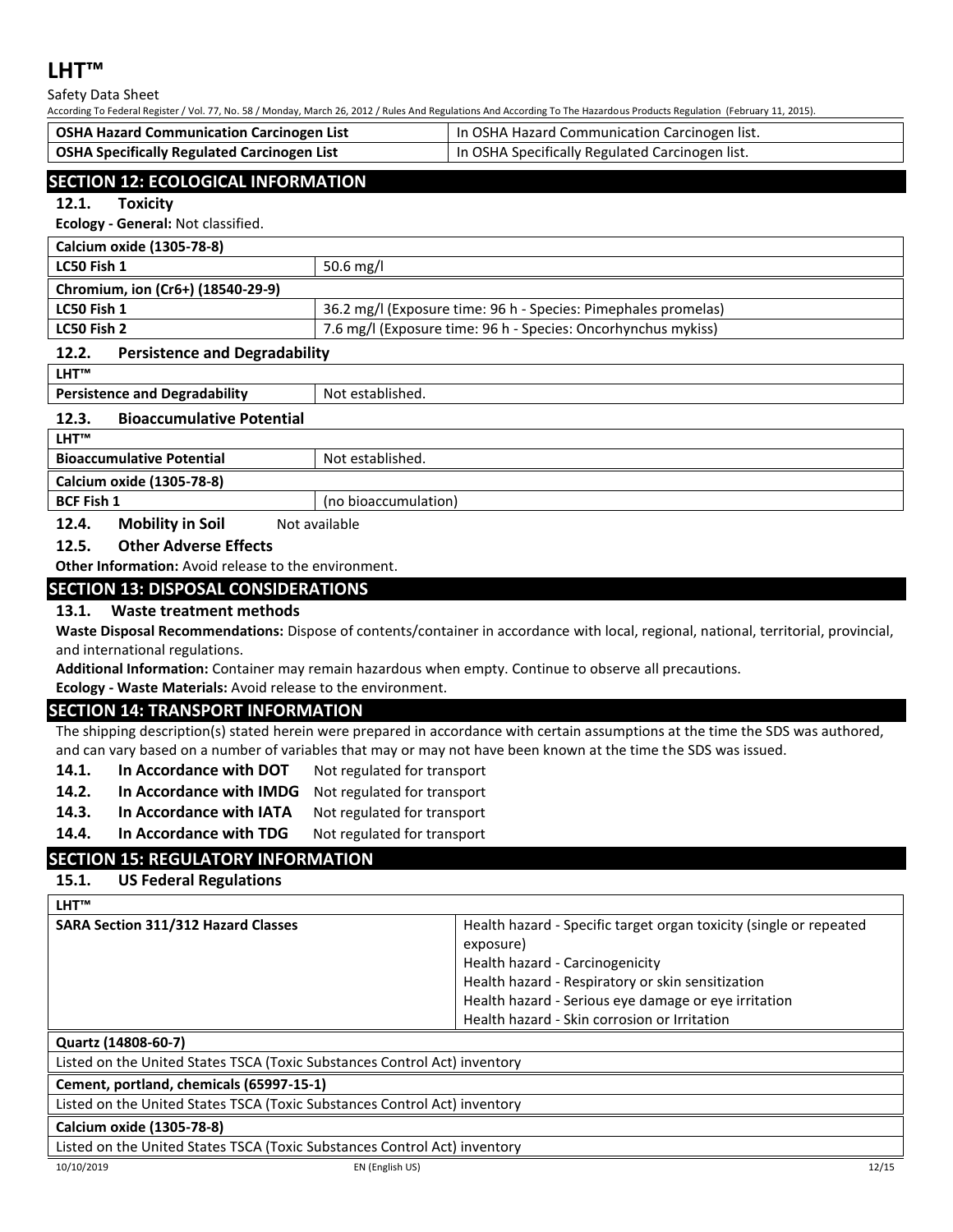Safety Data Sheet

According To Federal Register / Vol. 77, No. 58 / Monday, March 26, 2012 / Rules And Regulations And According To The Hazardous Products Regulation (February 11, 2015).

| <b>OSHA Hazard Communication Carcinogen List</b> | In OSHA Hazard Communication Carcinogen list.   |
|--------------------------------------------------|-------------------------------------------------|
| OSHA Specifically Regulated Carcinogen List      | In OSHA Specifically Regulated Carcinogen list. |
|                                                  |                                                 |
|                                                  |                                                 |

## **SECTION 12: ECOLOGICAL INFORMATION**

**12.1. Toxicity**

**Ecology - General:** Not classified.

| Calcium oxide (1305-78-8)         |                                                                |  |
|-----------------------------------|----------------------------------------------------------------|--|
| LC50 Fish 1                       | 50.6 mg/l                                                      |  |
| Chromium, ion (Cr6+) (18540-29-9) |                                                                |  |
| LC50 Fish 1                       | 36.2 mg/l (Exposure time: 96 h - Species: Pimephales promelas) |  |
| LC50 Fish 2                       | 7.6 mg/l (Exposure time: 96 h - Species: Oncorhynchus mykiss)  |  |
|                                   |                                                                |  |

### **12.2. Persistence and Degradability**

**LHT™**

**Persistence and Degradability | Not established.** 

#### **12.3. Bioaccumulative Potential**

| LHT™                             |                      |  |
|----------------------------------|----------------------|--|
| <b>Bioaccumulative Potential</b> | Not established.     |  |
| Calcium oxide (1305-78-8)        |                      |  |
| <b>BCF Fish 1</b>                | (no bioaccumulation) |  |
| <b>Mobility in Soil</b><br>12.4. | Not available        |  |

## **12.5. Other Adverse Effects**

**Other Information:** Avoid release to the environment.

## **SECTION 13: DISPOSAL CONSIDERATIONS**

## **13.1. Waste treatment methods**

**Waste Disposal Recommendations:** Dispose of contents/container in accordance with local, regional, national, territorial, provincial, and international regulations.

**Additional Information:** Container may remain hazardous when empty. Continue to observe all precautions.

## **Ecology - Waste Materials:** Avoid release to the environment.

## **SECTION 14: TRANSPORT INFORMATION**

The shipping description(s) stated herein were prepared in accordance with certain assumptions at the time the SDS was authored, and can vary based on a number of variables that may or may not have been known at the time the SDS was issued.

14.1. **In Accordance with DOT** Not regulated for transport

- **14.2. In Accordance with IMDG** Not regulated for transport
- 14.3. In Accordance with IATA Not regulated for transport
- 14.4. In Accordance with TDG Not regulated for transport

## **SECTION 15: REGULATORY INFORMATION**

## **15.1. US Federal Regulations**

| <b>LHT™</b>                                                               |                                                                                 |
|---------------------------------------------------------------------------|---------------------------------------------------------------------------------|
| SARA Section 311/312 Hazard Classes                                       | Health hazard - Specific target organ toxicity (single or repeated<br>exposure) |
|                                                                           | Health hazard - Carcinogenicity                                                 |
|                                                                           | Health hazard - Respiratory or skin sensitization                               |
|                                                                           | Health hazard - Serious eye damage or eye irritation                            |
|                                                                           | Health hazard - Skin corrosion or Irritation                                    |
| Quartz (14808-60-7)                                                       |                                                                                 |
| Listed on the United States TSCA (Toxic Substances Control Act) inventory |                                                                                 |
| Cement, portland, chemicals (65997-15-1)                                  |                                                                                 |
| Listed on the United States TSCA (Toxic Substances Control Act) inventory |                                                                                 |
| Calcium oxide (1305-78-8)                                                 |                                                                                 |

Listed on the United States TSCA (Toxic Substances Control Act) inventory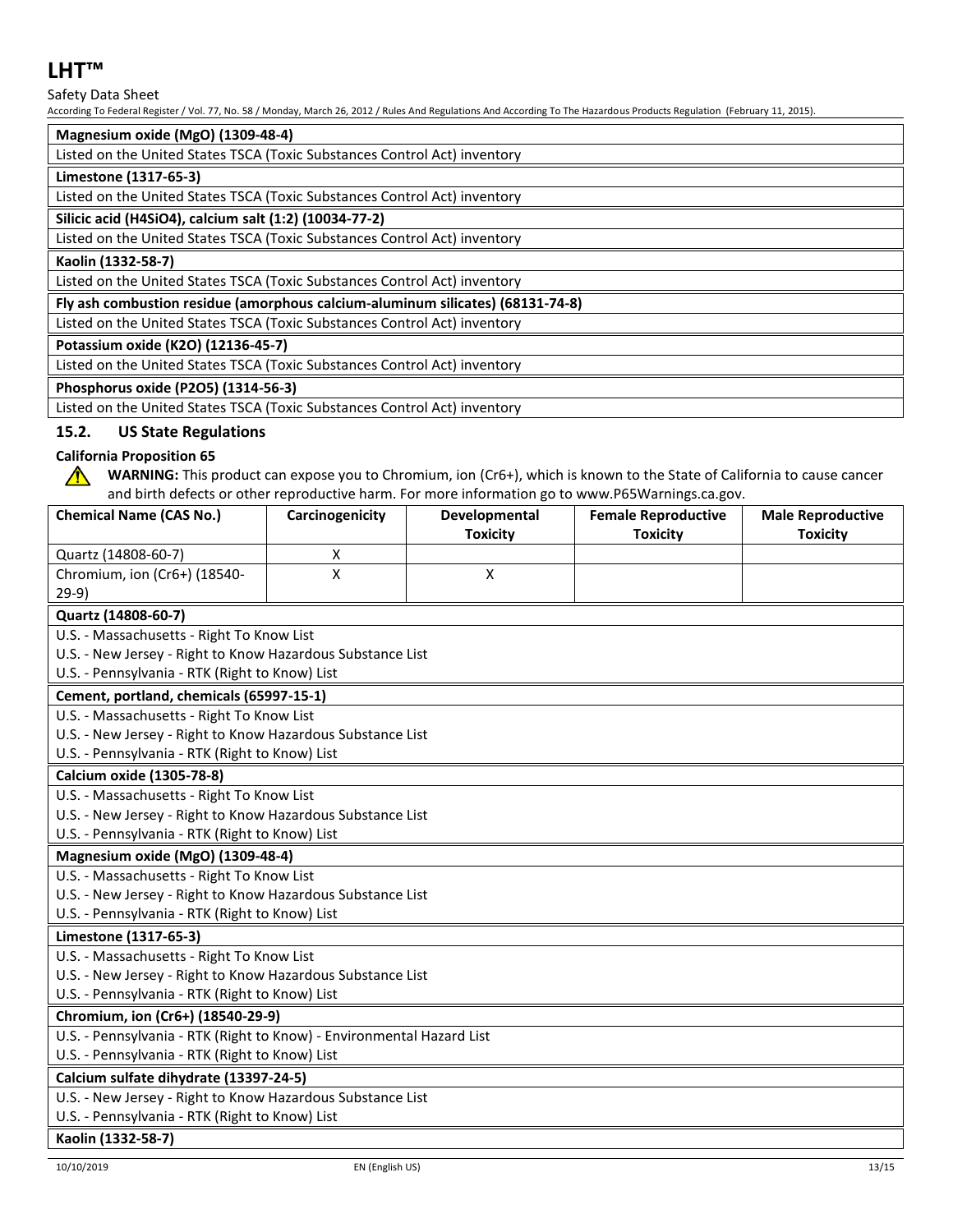## Safety Data Sheet

According To Federal Register / Vol. 77, No. 58 / Monday, March 26, 2012 / Rules And Regulations And According To The Hazardous Products Regulation (February 11, 2015).

## **Magnesium oxide (MgO) (1309-48-4)**

| Listed on the United States TSCA (Toxic Substances Control Act) inventory      |
|--------------------------------------------------------------------------------|
| Limestone (1317-65-3)                                                          |
| Listed on the United States TSCA (Toxic Substances Control Act) inventory      |
| Silicic acid (H4SiO4), calcium salt (1:2) (10034-77-2)                         |
| Listed on the United States TSCA (Toxic Substances Control Act) inventory      |
| Kaolin (1332-58-7)                                                             |
| Listed on the United States TSCA (Toxic Substances Control Act) inventory      |
| Fly ash combustion residue (amorphous calcium-aluminum silicates) (68131-74-8) |
| Listed on the United States TSCA (Toxic Substances Control Act) inventory      |
| Potassium oxide (K2O) (12136-45-7)                                             |
| Listed on the United States TSCA (Toxic Substances Control Act) inventory      |
| Phosphorus oxide (P2O5) (1314-56-3)                                            |
| Listed on the United States TSCA (Toxic Substances Control Act) inventory      |

## **15.2. US State Regulations**

## **California Proposition 65**

 $\sqrt{N}$ 

**WARNING:** This product can expose you to Chromium, ion (Cr6+), which is known to the State of California to cause cancer and birth defects or other reproductive harm. For more information go to www.P65Warnings.ca.gov.

| <b>Chemical Name (CAS No.)</b>                                        | Carcinogenicity | Developmental   | <b>Female Reproductive</b> | <b>Male Reproductive</b> |
|-----------------------------------------------------------------------|-----------------|-----------------|----------------------------|--------------------------|
| Quartz (14808-60-7)                                                   | Х               | <b>Toxicity</b> | <b>Toxicity</b>            | <b>Toxicity</b>          |
| Chromium, ion (Cr6+) (18540-                                          | X               | X               |                            |                          |
| $29-9)$                                                               |                 |                 |                            |                          |
| Quartz (14808-60-7)                                                   |                 |                 |                            |                          |
| U.S. - Massachusetts - Right To Know List                             |                 |                 |                            |                          |
| U.S. - New Jersey - Right to Know Hazardous Substance List            |                 |                 |                            |                          |
| U.S. - Pennsylvania - RTK (Right to Know) List                        |                 |                 |                            |                          |
| Cement, portland, chemicals (65997-15-1)                              |                 |                 |                            |                          |
| U.S. - Massachusetts - Right To Know List                             |                 |                 |                            |                          |
| U.S. - New Jersey - Right to Know Hazardous Substance List            |                 |                 |                            |                          |
| U.S. - Pennsylvania - RTK (Right to Know) List                        |                 |                 |                            |                          |
| Calcium oxide (1305-78-8)                                             |                 |                 |                            |                          |
| U.S. - Massachusetts - Right To Know List                             |                 |                 |                            |                          |
| U.S. - New Jersey - Right to Know Hazardous Substance List            |                 |                 |                            |                          |
| U.S. - Pennsylvania - RTK (Right to Know) List                        |                 |                 |                            |                          |
| Magnesium oxide (MgO) (1309-48-4)                                     |                 |                 |                            |                          |
| U.S. - Massachusetts - Right To Know List                             |                 |                 |                            |                          |
| U.S. - New Jersey - Right to Know Hazardous Substance List            |                 |                 |                            |                          |
| U.S. - Pennsylvania - RTK (Right to Know) List                        |                 |                 |                            |                          |
| Limestone (1317-65-3)                                                 |                 |                 |                            |                          |
| U.S. - Massachusetts - Right To Know List                             |                 |                 |                            |                          |
| U.S. - New Jersey - Right to Know Hazardous Substance List            |                 |                 |                            |                          |
| U.S. - Pennsylvania - RTK (Right to Know) List                        |                 |                 |                            |                          |
| Chromium, ion (Cr6+) (18540-29-9)                                     |                 |                 |                            |                          |
| U.S. - Pennsylvania - RTK (Right to Know) - Environmental Hazard List |                 |                 |                            |                          |
| U.S. - Pennsylvania - RTK (Right to Know) List                        |                 |                 |                            |                          |
| Calcium sulfate dihydrate (13397-24-5)                                |                 |                 |                            |                          |
| U.S. - New Jersey - Right to Know Hazardous Substance List            |                 |                 |                            |                          |
| U.S. - Pennsylvania - RTK (Right to Know) List                        |                 |                 |                            |                          |
| Kaolin (1332-58-7)                                                    |                 |                 |                            |                          |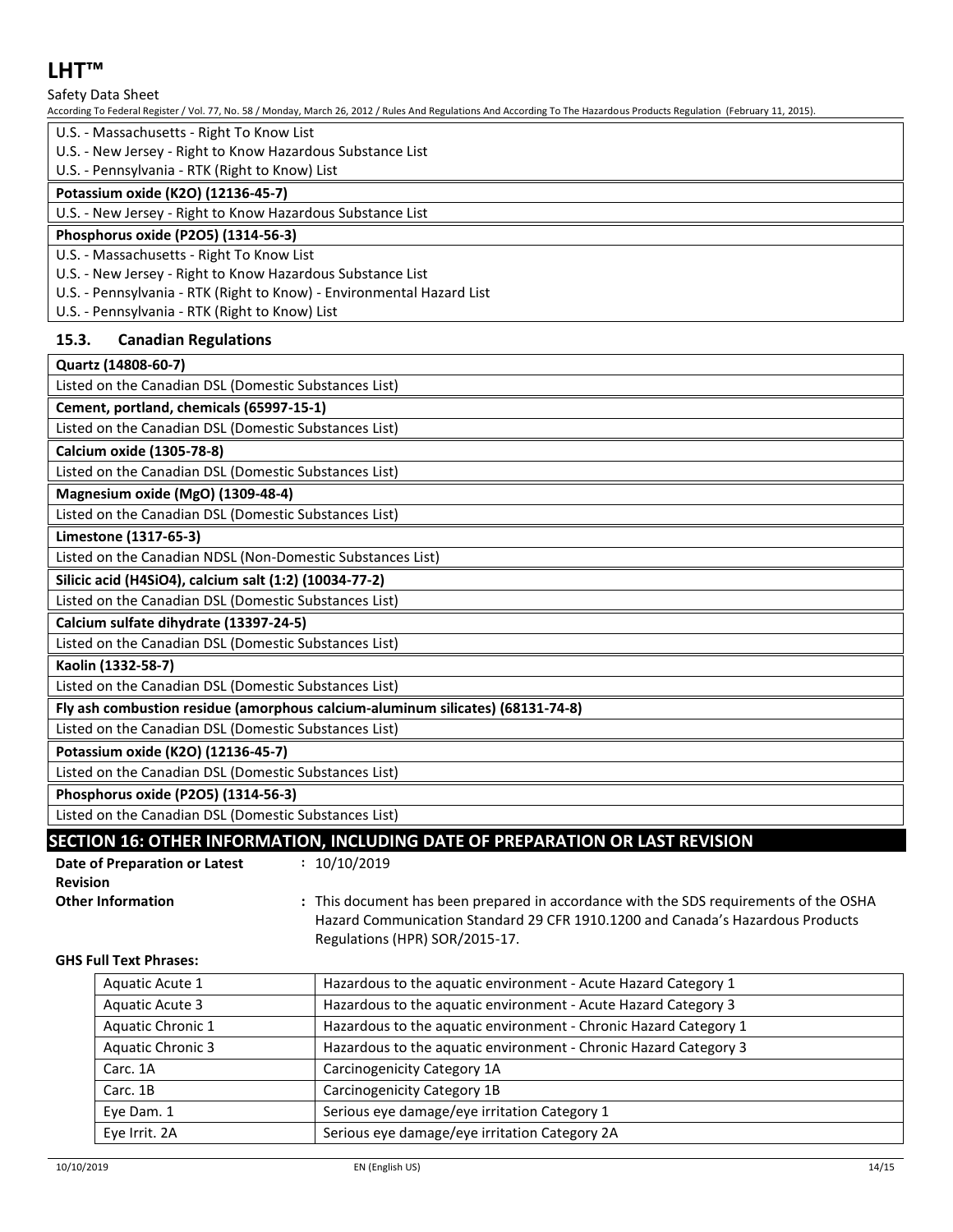## Safety Data Sheet

According To Federal Register / Vol. 77, No. 58 / Monday, March 26, 2012 / Rules And Regulations And According To The Hazardous Products Regulation (February 11, 2015).

- U.S. Massachusetts Right To Know List
- U.S. New Jersey Right to Know Hazardous Substance List
- U.S. Pennsylvania RTK (Right to Know) List

#### **Potassium oxide (K2O) (12136-45-7)**

U.S. - New Jersey - Right to Know Hazardous Substance List

### **Phosphorus oxide (P2O5) (1314-56-3)**

U.S. - Massachusetts - Right To Know List

- U.S. New Jersey Right to Know Hazardous Substance List
- U.S. Pennsylvania RTK (Right to Know) Environmental Hazard List

U.S. - Pennsylvania - RTK (Right to Know) List

#### **15.3. Canadian Regulations**

## **Quartz (14808-60-7)**

Listed on the Canadian DSL (Domestic Substances List)

**Cement, portland, chemicals (65997-15-1)**

Listed on the Canadian DSL (Domestic Substances List)

**Calcium oxide (1305-78-8)**

Listed on the Canadian DSL (Domestic Substances List)

**Magnesium oxide (MgO) (1309-48-4)**

Listed on the Canadian DSL (Domestic Substances List)

**Limestone (1317-65-3)**

Listed on the Canadian NDSL (Non-Domestic Substances List)

**Silicic acid (H4SiO4), calcium salt (1:2) (10034-77-2)**

Listed on the Canadian DSL (Domestic Substances List)

**Calcium sulfate dihydrate (13397-24-5)**

Listed on the Canadian DSL (Domestic Substances List)

**Kaolin (1332-58-7)**

Listed on the Canadian DSL (Domestic Substances List)

**Fly ash combustion residue (amorphous calcium-aluminum silicates) (68131-74-8)**

Listed on the Canadian DSL (Domestic Substances List)

#### **Potassium oxide (K2O) (12136-45-7)**

Listed on the Canadian DSL (Domestic Substances List)

**Phosphorus oxide (P2O5) (1314-56-3)**

Listed on the Canadian DSL (Domestic Substances List)

## **SECTION 16: OTHER INFORMATION, INCLUDING DATE OF PREPARATION OR LAST REVISION**

**Date of Preparation or Latest Revision**

**:** 10/10/2019

**Other Information 1998 :** This document has been prepared in accordance with the SDS requirements of the OSHA Hazard Communication Standard 29 CFR 1910.1200 and Canada's Hazardous Products Regulations (HPR) SOR/2015-17.

#### **GHS Full Text Phrases:**

| Aquatic Acute 1          | Hazardous to the aquatic environment - Acute Hazard Category 1   |  |  |
|--------------------------|------------------------------------------------------------------|--|--|
| Aquatic Acute 3          | Hazardous to the aquatic environment - Acute Hazard Category 3   |  |  |
| Aquatic Chronic 1        | Hazardous to the aquatic environment - Chronic Hazard Category 1 |  |  |
| <b>Aquatic Chronic 3</b> | Hazardous to the aquatic environment - Chronic Hazard Category 3 |  |  |
| Carc. 1A                 | Carcinogenicity Category 1A                                      |  |  |
| Carc. 1B                 | Carcinogenicity Category 1B                                      |  |  |
| Eye Dam. 1               | Serious eye damage/eye irritation Category 1                     |  |  |
| Eye Irrit. 2A            | Serious eye damage/eye irritation Category 2A                    |  |  |